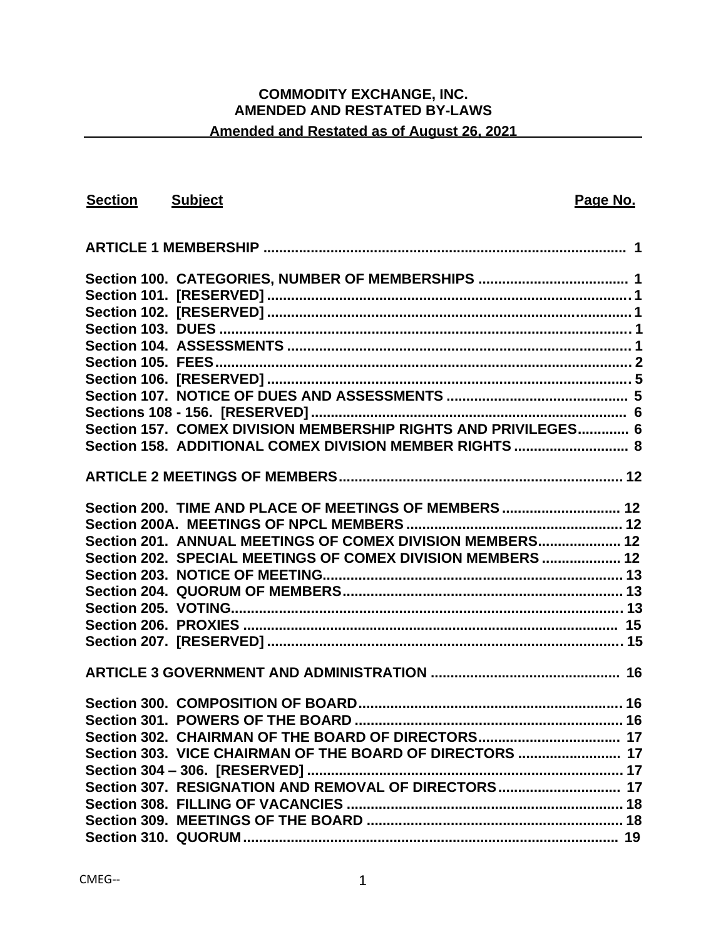# **COMMODITY EXCHANGE, INC. AMENDED AND RESTATED BY-LAWS**

# **Amended and Restated as of August 26, 2021**

| <b>Section</b> Subject |                                                                | Page No. |
|------------------------|----------------------------------------------------------------|----------|
|                        |                                                                |          |
|                        |                                                                |          |
|                        |                                                                |          |
|                        |                                                                |          |
|                        |                                                                |          |
|                        |                                                                |          |
|                        |                                                                |          |
|                        |                                                                |          |
|                        |                                                                |          |
|                        |                                                                |          |
|                        |                                                                |          |
|                        | Section 157. COMEX DIVISION MEMBERSHIP RIGHTS AND PRIVILEGES 6 |          |
|                        |                                                                |          |
|                        |                                                                |          |
|                        | Section 200. TIME AND PLACE OF MEETINGS OF MEMBERS  12         |          |
|                        |                                                                |          |
|                        | Section 201. ANNUAL MEETINGS OF COMEX DIVISION MEMBERS 12      |          |
|                        | Section 202. SPECIAL MEETINGS OF COMEX DIVISION MEMBERS  12    |          |
|                        |                                                                |          |
|                        |                                                                |          |
|                        |                                                                |          |
|                        |                                                                |          |
|                        |                                                                |          |
|                        |                                                                |          |
|                        |                                                                |          |
|                        |                                                                |          |
|                        |                                                                |          |
|                        |                                                                |          |
|                        |                                                                |          |
|                        |                                                                |          |
|                        |                                                                |          |
|                        |                                                                |          |
|                        |                                                                |          |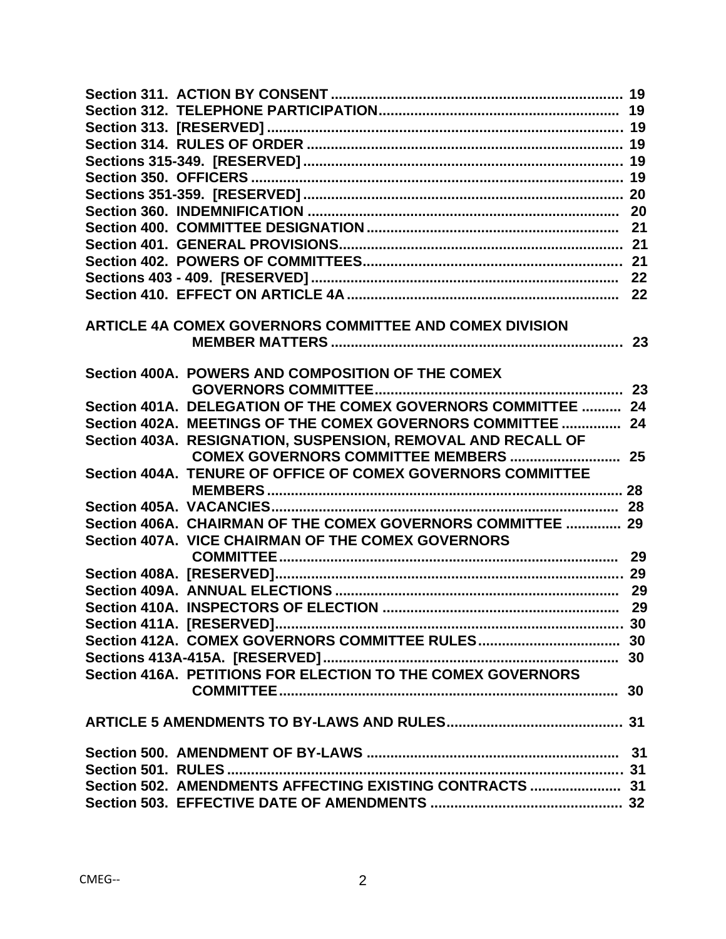| ARTICLE 4A COMEX GOVERNORS COMMITTEE AND COMEX DIVISION       |  |
|---------------------------------------------------------------|--|
|                                                               |  |
|                                                               |  |
| Section 400A. POWERS AND COMPOSITION OF THE COMEX             |  |
| Section 401A. DELEGATION OF THE COMEX GOVERNORS COMMITTEE  24 |  |
| Section 402A. MEETINGS OF THE COMEX GOVERNORS COMMITTEE  24   |  |
| Section 403A. RESIGNATION, SUSPENSION, REMOVAL AND RECALL OF  |  |
|                                                               |  |
| Section 404A. TENURE OF OFFICE OF COMEX GOVERNORS COMMITTEE   |  |
|                                                               |  |
|                                                               |  |
| Section 406A. CHAIRMAN OF THE COMEX GOVERNORS COMMITTEE  29   |  |
| Section 407A. VICE CHAIRMAN OF THE COMEX GOVERNORS            |  |
|                                                               |  |
|                                                               |  |
|                                                               |  |
|                                                               |  |
|                                                               |  |
|                                                               |  |
|                                                               |  |
| Section 416A. PETITIONS FOR ELECTION TO THE COMEX GOVERNORS   |  |
|                                                               |  |
|                                                               |  |
|                                                               |  |
|                                                               |  |
|                                                               |  |
| Section 502. AMENDMENTS AFFECTING EXISTING CONTRACTS  31      |  |
|                                                               |  |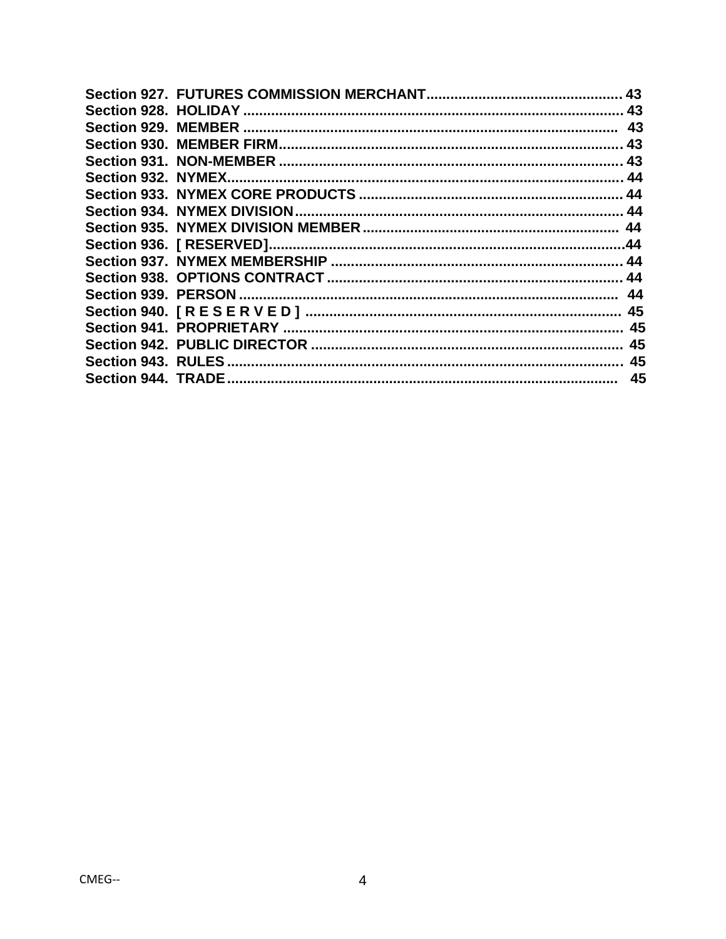|  | 43 |
|--|----|
|  |    |
|  |    |
|  |    |
|  |    |
|  |    |
|  |    |
|  |    |
|  |    |
|  |    |
|  |    |
|  |    |
|  |    |
|  |    |
|  |    |
|  |    |
|  |    |
|  | 45 |
|  |    |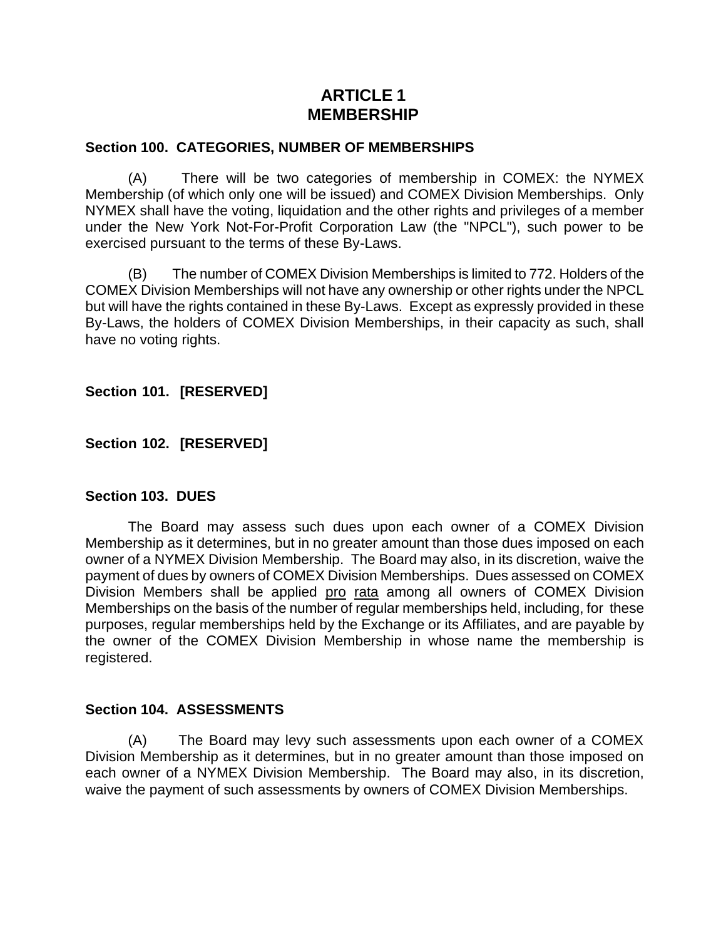# **ARTICLE 1 MEMBERSHIP**

#### **Section 100. CATEGORIES, NUMBER OF MEMBERSHIPS**

(A) There will be two categories of membership in COMEX: the NYMEX Membership (of which only one will be issued) and COMEX Division Memberships. Only NYMEX shall have the voting, liquidation and the other rights and privileges of a member under the New York Not-For-Profit Corporation Law (the "NPCL"), such power to be exercised pursuant to the terms of these By-Laws.

(B) The number of COMEX Division Memberships is limited to 772. Holders of the COMEX Division Memberships will not have any ownership or other rights under the NPCL but will have the rights contained in these By-Laws. Except as expressly provided in these By-Laws, the holders of COMEX Division Memberships, in their capacity as such, shall have no voting rights.

**Section 101. [RESERVED]** 

**Section 102. [RESERVED]** 

#### **Section 103. DUES**

The Board may assess such dues upon each owner of a COMEX Division Membership as it determines, but in no greater amount than those dues imposed on each owner of a NYMEX Division Membership. The Board may also, in its discretion, waive the payment of dues by owners of COMEX Division Memberships. Dues assessed on COMEX Division Members shall be applied pro rata among all owners of COMEX Division Memberships on the basis of the number of regular memberships held, including, for these purposes, regular memberships held by the Exchange or its Affiliates, and are payable by the owner of the COMEX Division Membership in whose name the membership is registered.

#### **Section 104. ASSESSMENTS**

(A) The Board may levy such assessments upon each owner of a COMEX Division Membership as it determines, but in no greater amount than those imposed on each owner of a NYMEX Division Membership. The Board may also, in its discretion, waive the payment of such assessments by owners of COMEX Division Memberships.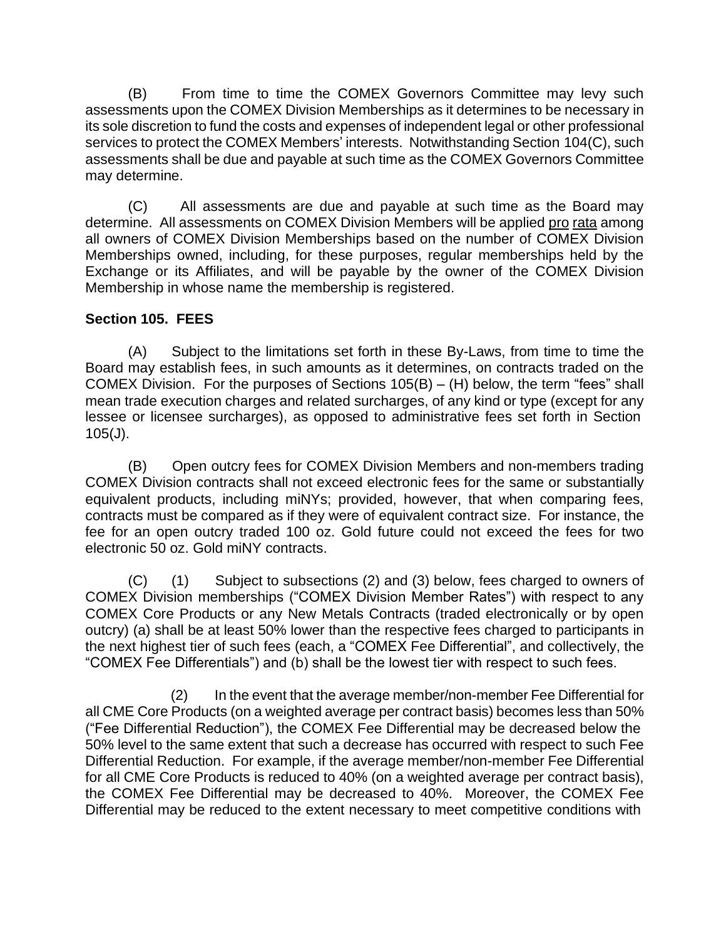(B) From time to time the COMEX Governors Committee may levy such assessments upon the COMEX Division Memberships as it determines to be necessary in its sole discretion to fund the costs and expenses of independent legal or other professional services to protect the COMEX Members' interests. Notwithstanding Section 104(C), such assessments shall be due and payable at such time as the COMEX Governors Committee may determine.

(C) All assessments are due and payable at such time as the Board may determine. All assessments on COMEX Division Members will be applied pro rata among all owners of COMEX Division Memberships based on the number of COMEX Division Memberships owned, including, for these purposes, regular memberships held by the Exchange or its Affiliates, and will be payable by the owner of the COMEX Division Membership in whose name the membership is registered.

# **Section 105. FEES**

(A) Subject to the limitations set forth in these By-Laws, from time to time the Board may establish fees, in such amounts as it determines, on contracts traded on the COMEX Division. For the purposes of Sections 105(B) – (H) below, the term "fees" shall mean trade execution charges and related surcharges, of any kind or type (except for any lessee or licensee surcharges), as opposed to administrative fees set forth in Section 105(J).

(B) Open outcry fees for COMEX Division Members and non-members trading COMEX Division contracts shall not exceed electronic fees for the same or substantially equivalent products, including miNYs; provided, however, that when comparing fees, contracts must be compared as if they were of equivalent contract size. For instance, the fee for an open outcry traded 100 oz. Gold future could not exceed the fees for two electronic 50 oz. Gold miNY contracts.

(C) (1) Subject to subsections (2) and (3) below, fees charged to owners of COMEX Division memberships ("COMEX Division Member Rates") with respect to any COMEX Core Products or any New Metals Contracts (traded electronically or by open outcry) (a) shall be at least 50% lower than the respective fees charged to participants in the next highest tier of such fees (each, a "COMEX Fee Differential", and collectively, the "COMEX Fee Differentials") and (b) shall be the lowest tier with respect to such fees.

(2) In the event that the average member/non-member Fee Differential for all CME Core Products (on a weighted average per contract basis) becomes less than 50% ("Fee Differential Reduction"), the COMEX Fee Differential may be decreased below the 50% level to the same extent that such a decrease has occurred with respect to such Fee Differential Reduction. For example, if the average member/non-member Fee Differential for all CME Core Products is reduced to 40% (on a weighted average per contract basis), the COMEX Fee Differential may be decreased to 40%. Moreover, the COMEX Fee Differential may be reduced to the extent necessary to meet competitive conditions with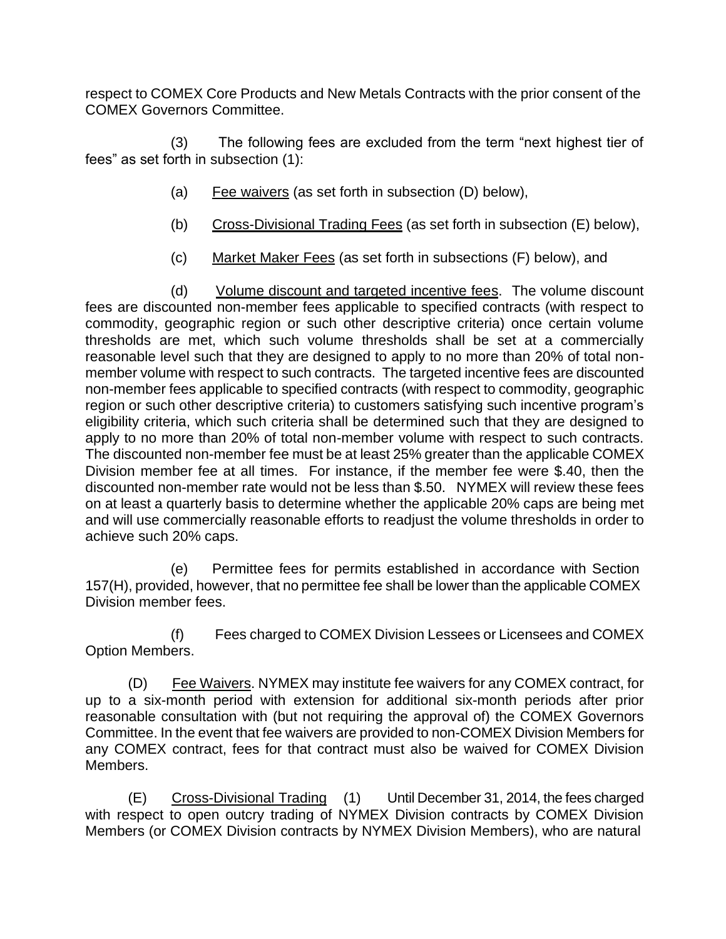respect to COMEX Core Products and New Metals Contracts with the prior consent of the COMEX Governors Committee.

(3) The following fees are excluded from the term "next highest tier of fees" as set forth in subsection (1):

- (a) Fee waivers (as set forth in subsection (D) below),
- (b) Cross-Divisional Trading Fees (as set forth in subsection (E) below),
- (c) Market Maker Fees (as set forth in subsections (F) below), and

(d) Volume discount and targeted incentive fees. The volume discount fees are discounted non-member fees applicable to specified contracts (with respect to commodity, geographic region or such other descriptive criteria) once certain volume thresholds are met, which such volume thresholds shall be set at a commercially reasonable level such that they are designed to apply to no more than 20% of total nonmember volume with respect to such contracts. The targeted incentive fees are discounted non-member fees applicable to specified contracts (with respect to commodity, geographic region or such other descriptive criteria) to customers satisfying such incentive program's eligibility criteria, which such criteria shall be determined such that they are designed to apply to no more than 20% of total non-member volume with respect to such contracts. The discounted non-member fee must be at least 25% greater than the applicable COMEX Division member fee at all times. For instance, if the member fee were \$.40, then the discounted non-member rate would not be less than \$.50. NYMEX will review these fees on at least a quarterly basis to determine whether the applicable 20% caps are being met and will use commercially reasonable efforts to readjust the volume thresholds in order to achieve such 20% caps.

(e) Permittee fees for permits established in accordance with Section 157(H), provided, however, that no permittee fee shall be lower than the applicable COMEX Division member fees.

(f) Fees charged to COMEX Division Lessees or Licensees and COMEX Option Members.

(D) Fee Waivers. NYMEX may institute fee waivers for any COMEX contract, for up to a six-month period with extension for additional six-month periods after prior reasonable consultation with (but not requiring the approval of) the COMEX Governors Committee. In the event that fee waivers are provided to non-COMEX Division Members for any COMEX contract, fees for that contract must also be waived for COMEX Division Members.

(E) Cross-Divisional Trading (1) Until December 31, 2014, the fees charged with respect to open outcry trading of NYMEX Division contracts by COMEX Division Members (or COMEX Division contracts by NYMEX Division Members), who are natural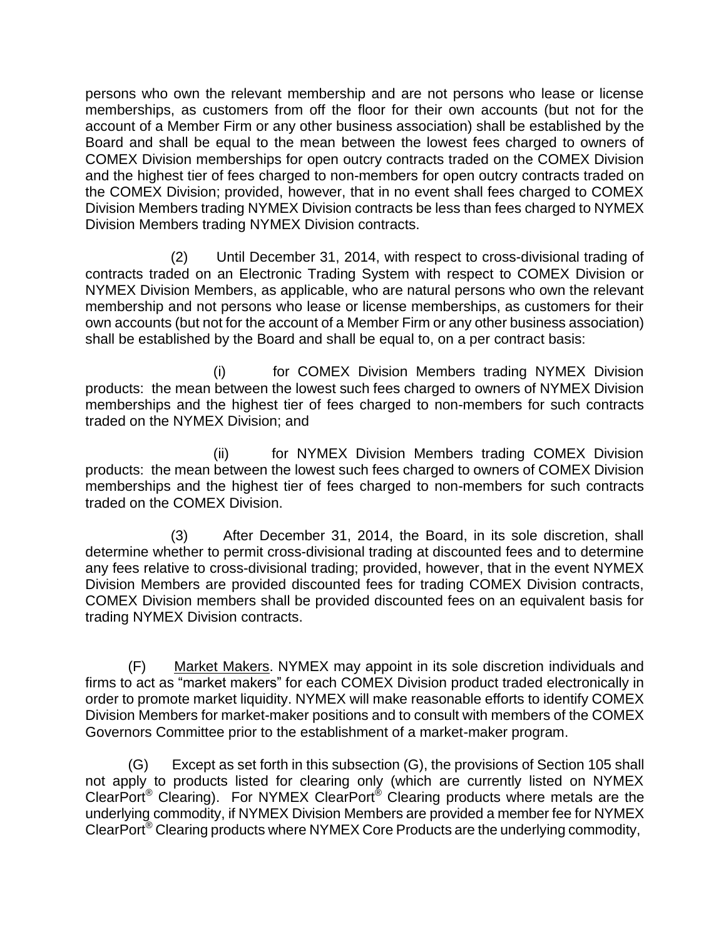persons who own the relevant membership and are not persons who lease or license memberships, as customers from off the floor for their own accounts (but not for the account of a Member Firm or any other business association) shall be established by the Board and shall be equal to the mean between the lowest fees charged to owners of COMEX Division memberships for open outcry contracts traded on the COMEX Division and the highest tier of fees charged to non-members for open outcry contracts traded on the COMEX Division; provided, however, that in no event shall fees charged to COMEX Division Members trading NYMEX Division contracts be less than fees charged to NYMEX Division Members trading NYMEX Division contracts.

(2) Until December 31, 2014, with respect to cross-divisional trading of contracts traded on an Electronic Trading System with respect to COMEX Division or NYMEX Division Members, as applicable, who are natural persons who own the relevant membership and not persons who lease or license memberships, as customers for their own accounts (but not for the account of a Member Firm or any other business association) shall be established by the Board and shall be equal to, on a per contract basis:

(i) for COMEX Division Members trading NYMEX Division products: the mean between the lowest such fees charged to owners of NYMEX Division memberships and the highest tier of fees charged to non-members for such contracts traded on the NYMEX Division; and

(ii) for NYMEX Division Members trading COMEX Division products: the mean between the lowest such fees charged to owners of COMEX Division memberships and the highest tier of fees charged to non-members for such contracts traded on the COMEX Division.

(3) After December 31, 2014, the Board, in its sole discretion, shall determine whether to permit cross-divisional trading at discounted fees and to determine any fees relative to cross-divisional trading; provided, however, that in the event NYMEX Division Members are provided discounted fees for trading COMEX Division contracts, COMEX Division members shall be provided discounted fees on an equivalent basis for trading NYMEX Division contracts.

(F) Market Makers. NYMEX may appoint in its sole discretion individuals and firms to act as "market makers" for each COMEX Division product traded electronically in order to promote market liquidity. NYMEX will make reasonable efforts to identify COMEX Division Members for market-maker positions and to consult with members of the COMEX Governors Committee prior to the establishment of a market-maker program.

(G) Except as set forth in this subsection (G), the provisions of Section 105 shall not apply to products listed for clearing only (which are currently listed on NYMEX ClearPort<sup>®</sup> Clearing). For NYMEX ClearPort<sup>®</sup> Clearing products where metals are the underlying commodity, if NYMEX Division Members are provided a member fee for NYMEX ClearPort® Clearing products where NYMEX Core Products are the underlying commodity,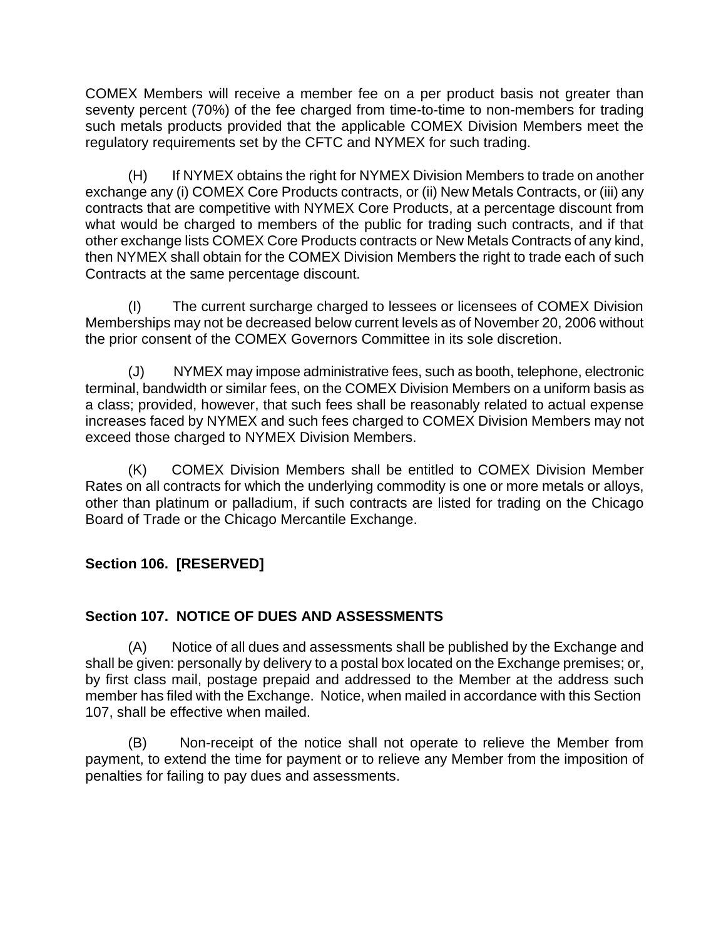COMEX Members will receive a member fee on a per product basis not greater than seventy percent (70%) of the fee charged from time-to-time to non-members for trading such metals products provided that the applicable COMEX Division Members meet the regulatory requirements set by the CFTC and NYMEX for such trading.

(H) If NYMEX obtains the right for NYMEX Division Members to trade on another exchange any (i) COMEX Core Products contracts, or (ii) New Metals Contracts, or (iii) any contracts that are competitive with NYMEX Core Products, at a percentage discount from what would be charged to members of the public for trading such contracts, and if that other exchange lists COMEX Core Products contracts or New Metals Contracts of any kind, then NYMEX shall obtain for the COMEX Division Members the right to trade each of such Contracts at the same percentage discount.

(I) The current surcharge charged to lessees or licensees of COMEX Division Memberships may not be decreased below current levels as of November 20, 2006 without the prior consent of the COMEX Governors Committee in its sole discretion.

(J) NYMEX may impose administrative fees, such as booth, telephone, electronic terminal, bandwidth or similar fees, on the COMEX Division Members on a uniform basis as a class; provided, however, that such fees shall be reasonably related to actual expense increases faced by NYMEX and such fees charged to COMEX Division Members may not exceed those charged to NYMEX Division Members.

(K) COMEX Division Members shall be entitled to COMEX Division Member Rates on all contracts for which the underlying commodity is one or more metals or alloys, other than platinum or palladium, if such contracts are listed for trading on the Chicago Board of Trade or the Chicago Mercantile Exchange.

# **Section 106. [RESERVED]**

# **Section 107. NOTICE OF DUES AND ASSESSMENTS**

(A) Notice of all dues and assessments shall be published by the Exchange and shall be given: personally by delivery to a postal box located on the Exchange premises; or, by first class mail, postage prepaid and addressed to the Member at the address such member has filed with the Exchange. Notice, when mailed in accordance with this Section 107, shall be effective when mailed.

(B) Non-receipt of the notice shall not operate to relieve the Member from payment, to extend the time for payment or to relieve any Member from the imposition of penalties for failing to pay dues and assessments.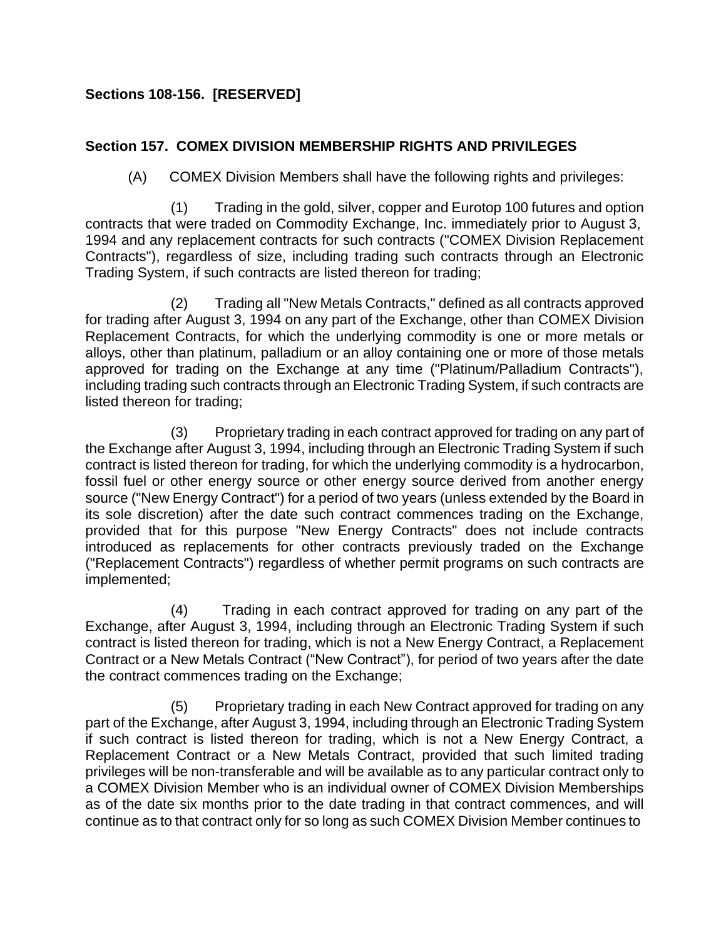# **Sections 108-156. [RESERVED]**

# **Section 157. COMEX DIVISION MEMBERSHIP RIGHTS AND PRIVILEGES**

(A) COMEX Division Members shall have the following rights and privileges:

(1) Trading in the gold, silver, copper and Eurotop 100 futures and option contracts that were traded on Commodity Exchange, Inc. immediately prior to August 3, 1994 and any replacement contracts for such contracts ("COMEX Division Replacement Contracts"), regardless of size, including trading such contracts through an Electronic Trading System, if such contracts are listed thereon for trading;

(2) Trading all "New Metals Contracts," defined as all contracts approved for trading after August 3, 1994 on any part of the Exchange, other than COMEX Division Replacement Contracts, for which the underlying commodity is one or more metals or alloys, other than platinum, palladium or an alloy containing one or more of those metals approved for trading on the Exchange at any time ("Platinum/Palladium Contracts"), including trading such contracts through an Electronic Trading System, if such contracts are listed thereon for trading;

(3) Proprietary trading in each contract approved for trading on any part of the Exchange after August 3, 1994, including through an Electronic Trading System if such contract is listed thereon for trading, for which the underlying commodity is a hydrocarbon, fossil fuel or other energy source or other energy source derived from another energy source ("New Energy Contract") for a period of two years (unless extended by the Board in its sole discretion) after the date such contract commences trading on the Exchange, provided that for this purpose "New Energy Contracts" does not include contracts introduced as replacements for other contracts previously traded on the Exchange ("Replacement Contracts") regardless of whether permit programs on such contracts are implemented;

(4) Trading in each contract approved for trading on any part of the Exchange, after August 3, 1994, including through an Electronic Trading System if such contract is listed thereon for trading, which is not a New Energy Contract, a Replacement Contract or a New Metals Contract ("New Contract"), for period of two years after the date the contract commences trading on the Exchange;

(5) Proprietary trading in each New Contract approved for trading on any part of the Exchange, after August 3, 1994, including through an Electronic Trading System if such contract is listed thereon for trading, which is not a New Energy Contract, a Replacement Contract or a New Metals Contract, provided that such limited trading privileges will be non-transferable and will be available as to any particular contract only to a COMEX Division Member who is an individual owner of COMEX Division Memberships as of the date six months prior to the date trading in that contract commences, and will continue as to that contract only for so long as such COMEX Division Member continues to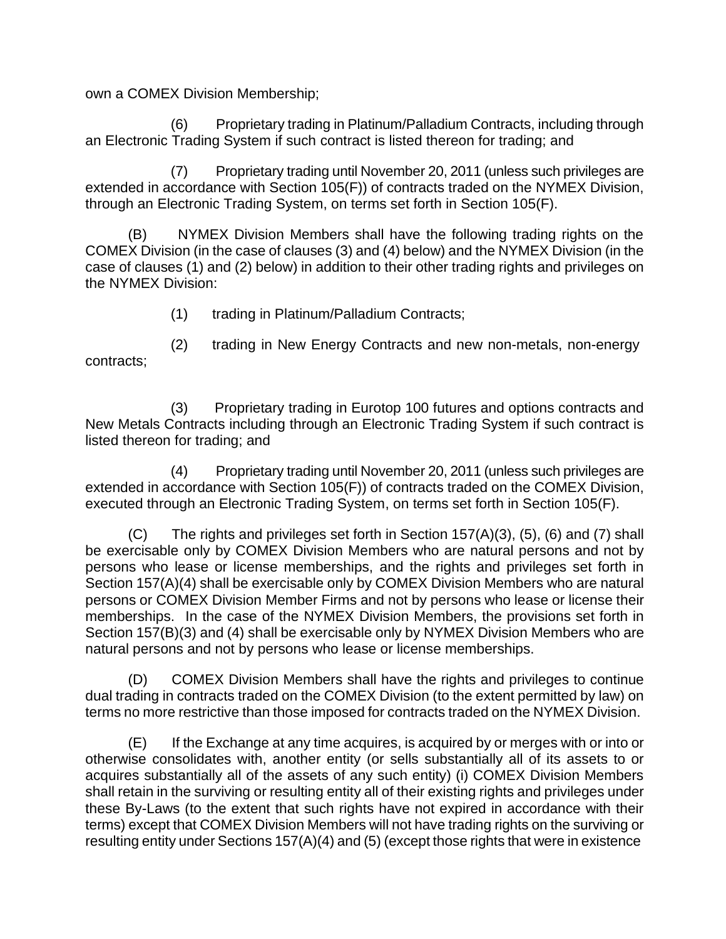own a COMEX Division Membership;

(6) Proprietary trading in Platinum/Palladium Contracts, including through an Electronic Trading System if such contract is listed thereon for trading; and

(7) Proprietary trading until November 20, 2011 (unless such privileges are extended in accordance with Section 105(F)) of contracts traded on the NYMEX Division, through an Electronic Trading System, on terms set forth in Section 105(F).

(B) NYMEX Division Members shall have the following trading rights on the COMEX Division (in the case of clauses (3) and (4) below) and the NYMEX Division (in the case of clauses (1) and (2) below) in addition to their other trading rights and privileges on the NYMEX Division:

(1) trading in Platinum/Palladium Contracts;

contracts; (2) trading in New Energy Contracts and new non-metals, non-energy

(3) Proprietary trading in Eurotop 100 futures and options contracts and New Metals Contracts including through an Electronic Trading System if such contract is listed thereon for trading; and

(4) Proprietary trading until November 20, 2011 (unless such privileges are extended in accordance with Section 105(F)) of contracts traded on the COMEX Division, executed through an Electronic Trading System, on terms set forth in Section 105(F).

(C) The rights and privileges set forth in Section 157(A)(3), (5), (6) and (7) shall be exercisable only by COMEX Division Members who are natural persons and not by persons who lease or license memberships, and the rights and privileges set forth in Section 157(A)(4) shall be exercisable only by COMEX Division Members who are natural persons or COMEX Division Member Firms and not by persons who lease or license their memberships. In the case of the NYMEX Division Members, the provisions set forth in Section 157(B)(3) and (4) shall be exercisable only by NYMEX Division Members who are natural persons and not by persons who lease or license memberships.

(D) COMEX Division Members shall have the rights and privileges to continue dual trading in contracts traded on the COMEX Division (to the extent permitted by law) on terms no more restrictive than those imposed for contracts traded on the NYMEX Division.

(E) If the Exchange at any time acquires, is acquired by or merges with or into or otherwise consolidates with, another entity (or sells substantially all of its assets to or acquires substantially all of the assets of any such entity) (i) COMEX Division Members shall retain in the surviving or resulting entity all of their existing rights and privileges under these By-Laws (to the extent that such rights have not expired in accordance with their terms) except that COMEX Division Members will not have trading rights on the surviving or resulting entity under Sections 157(A)(4) and (5) (except those rights that were in existence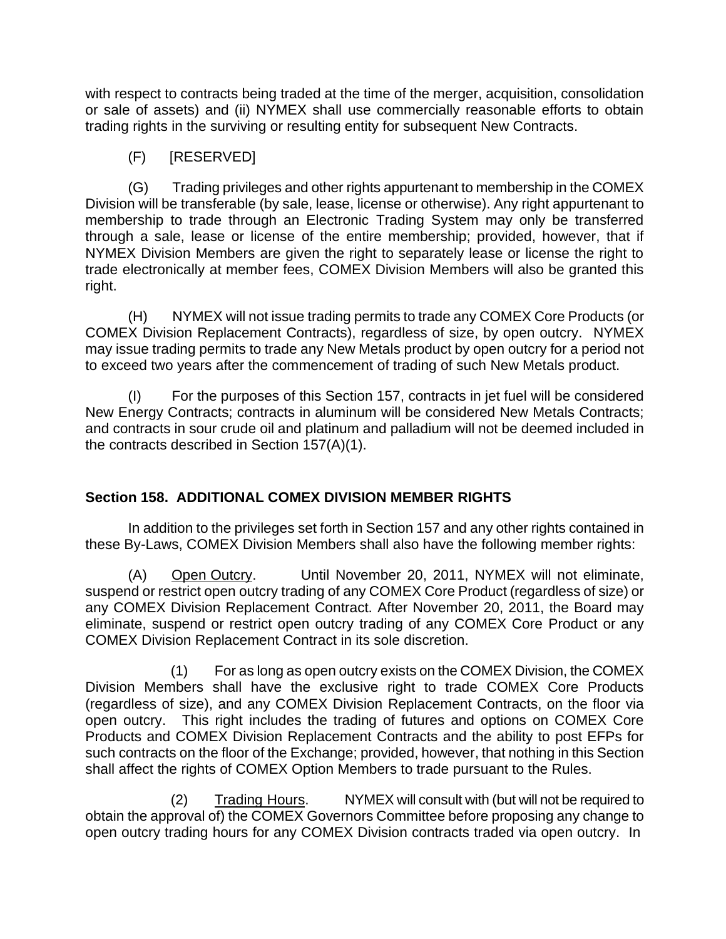with respect to contracts being traded at the time of the merger, acquisition, consolidation or sale of assets) and (ii) NYMEX shall use commercially reasonable efforts to obtain trading rights in the surviving or resulting entity for subsequent New Contracts.

(F) [RESERVED]

(G) Trading privileges and other rights appurtenant to membership in the COMEX Division will be transferable (by sale, lease, license or otherwise). Any right appurtenant to membership to trade through an Electronic Trading System may only be transferred through a sale, lease or license of the entire membership; provided, however, that if NYMEX Division Members are given the right to separately lease or license the right to trade electronically at member fees, COMEX Division Members will also be granted this right.

(H) NYMEX will not issue trading permits to trade any COMEX Core Products (or COMEX Division Replacement Contracts), regardless of size, by open outcry. NYMEX may issue trading permits to trade any New Metals product by open outcry for a period not to exceed two years after the commencement of trading of such New Metals product.

(I) For the purposes of this Section 157, contracts in jet fuel will be considered New Energy Contracts; contracts in aluminum will be considered New Metals Contracts; and contracts in sour crude oil and platinum and palladium will not be deemed included in the contracts described in Section 157(A)(1).

# **Section 158. ADDITIONAL COMEX DIVISION MEMBER RIGHTS**

In addition to the privileges set forth in Section 157 and any other rights contained in these By-Laws, COMEX Division Members shall also have the following member rights:

(A) Open Outcry. Until November 20, 2011, NYMEX will not eliminate, suspend or restrict open outcry trading of any COMEX Core Product (regardless of size) or any COMEX Division Replacement Contract. After November 20, 2011, the Board may eliminate, suspend or restrict open outcry trading of any COMEX Core Product or any COMEX Division Replacement Contract in its sole discretion.

(1) For as long as open outcry exists on the COMEX Division, the COMEX Division Members shall have the exclusive right to trade COMEX Core Products (regardless of size), and any COMEX Division Replacement Contracts, on the floor via open outcry. This right includes the trading of futures and options on COMEX Core Products and COMEX Division Replacement Contracts and the ability to post EFPs for such contracts on the floor of the Exchange; provided, however, that nothing in this Section shall affect the rights of COMEX Option Members to trade pursuant to the Rules.

(2) Trading Hours. NYMEX will consult with (but will not be required to obtain the approval of) the COMEX Governors Committee before proposing any change to open outcry trading hours for any COMEX Division contracts traded via open outcry. In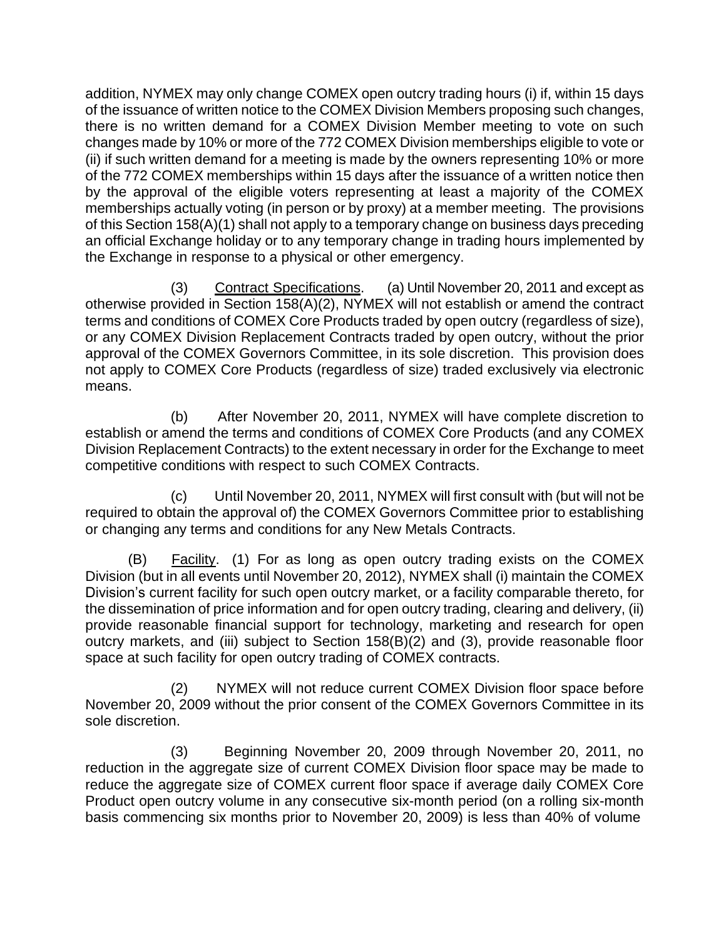addition, NYMEX may only change COMEX open outcry trading hours (i) if, within 15 days of the issuance of written notice to the COMEX Division Members proposing such changes, there is no written demand for a COMEX Division Member meeting to vote on such changes made by 10% or more of the 772 COMEX Division memberships eligible to vote or (ii) if such written demand for a meeting is made by the owners representing 10% or more of the 772 COMEX memberships within 15 days after the issuance of a written notice then by the approval of the eligible voters representing at least a majority of the COMEX memberships actually voting (in person or by proxy) at a member meeting. The provisions of this Section 158(A)(1) shall not apply to a temporary change on business days preceding an official Exchange holiday or to any temporary change in trading hours implemented by the Exchange in response to a physical or other emergency.

(3) Contract Specifications. (a) Until November 20, 2011 and except as otherwise provided in Section 158(A)(2), NYMEX will not establish or amend the contract terms and conditions of COMEX Core Products traded by open outcry (regardless of size), or any COMEX Division Replacement Contracts traded by open outcry, without the prior approval of the COMEX Governors Committee, in its sole discretion. This provision does not apply to COMEX Core Products (regardless of size) traded exclusively via electronic means.

(b) After November 20, 2011, NYMEX will have complete discretion to establish or amend the terms and conditions of COMEX Core Products (and any COMEX Division Replacement Contracts) to the extent necessary in order for the Exchange to meet competitive conditions with respect to such COMEX Contracts.

Until November 20, 2011, NYMEX will first consult with (but will not be required to obtain the approval of) the COMEX Governors Committee prior to establishing or changing any terms and conditions for any New Metals Contracts.

(B) Facility. (1) For as long as open outcry trading exists on the COMEX Division (but in all events until November 20, 2012), NYMEX shall (i) maintain the COMEX Division's current facility for such open outcry market, or a facility comparable thereto, for the dissemination of price information and for open outcry trading, clearing and delivery, (ii) provide reasonable financial support for technology, marketing and research for open outcry markets, and (iii) subject to Section 158(B)(2) and (3), provide reasonable floor space at such facility for open outcry trading of COMEX contracts.

(2) NYMEX will not reduce current COMEX Division floor space before November 20, 2009 without the prior consent of the COMEX Governors Committee in its sole discretion.

(3) Beginning November 20, 2009 through November 20, 2011, no reduction in the aggregate size of current COMEX Division floor space may be made to reduce the aggregate size of COMEX current floor space if average daily COMEX Core Product open outcry volume in any consecutive six-month period (on a rolling six-month basis commencing six months prior to November 20, 2009) is less than 40% of volume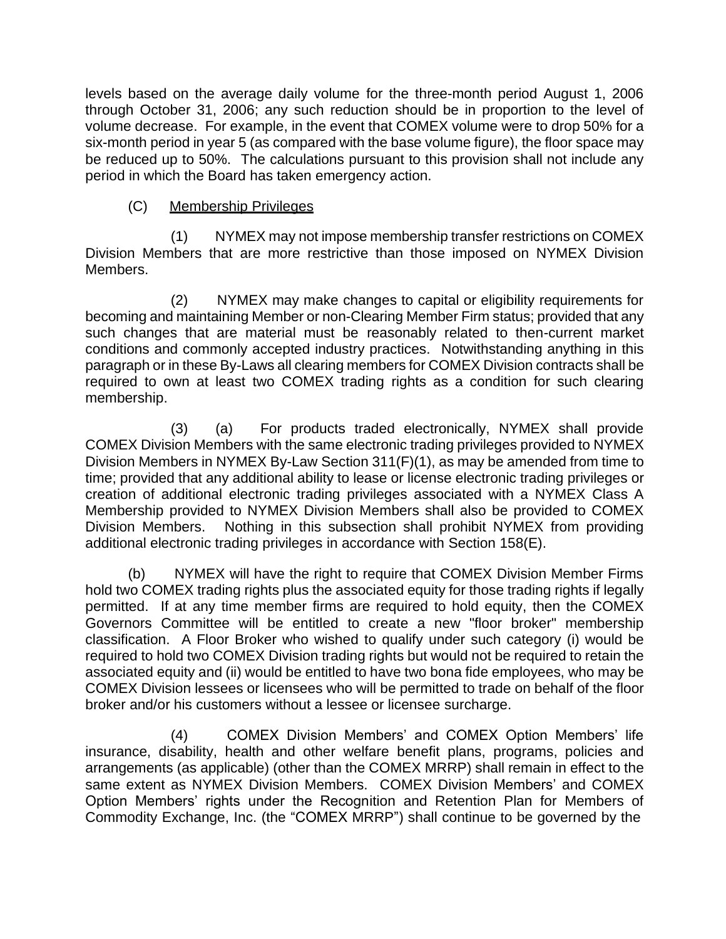levels based on the average daily volume for the three-month period August 1, 2006 through October 31, 2006; any such reduction should be in proportion to the level of volume decrease. For example, in the event that COMEX volume were to drop 50% for a six-month period in year 5 (as compared with the base volume figure), the floor space may be reduced up to 50%. The calculations pursuant to this provision shall not include any period in which the Board has taken emergency action.

# (C) Membership Privileges

(1) NYMEX may not impose membership transfer restrictions on COMEX Division Members that are more restrictive than those imposed on NYMEX Division Members.

(2) NYMEX may make changes to capital or eligibility requirements for becoming and maintaining Member or non-Clearing Member Firm status; provided that any such changes that are material must be reasonably related to then-current market conditions and commonly accepted industry practices. Notwithstanding anything in this paragraph or in these By-Laws all clearing members for COMEX Division contracts shall be required to own at least two COMEX trading rights as a condition for such clearing membership.

(3) (a) For products traded electronically, NYMEX shall provide COMEX Division Members with the same electronic trading privileges provided to NYMEX Division Members in NYMEX By-Law Section 311(F)(1), as may be amended from time to time; provided that any additional ability to lease or license electronic trading privileges or creation of additional electronic trading privileges associated with a NYMEX Class A Membership provided to NYMEX Division Members shall also be provided to COMEX Division Members. Nothing in this subsection shall prohibit NYMEX from providing additional electronic trading privileges in accordance with Section 158(E).

(b) NYMEX will have the right to require that COMEX Division Member Firms hold two COMEX trading rights plus the associated equity for those trading rights if legally permitted. If at any time member firms are required to hold equity, then the COMEX Governors Committee will be entitled to create a new "floor broker" membership classification. A Floor Broker who wished to qualify under such category (i) would be required to hold two COMEX Division trading rights but would not be required to retain the associated equity and (ii) would be entitled to have two bona fide employees, who may be COMEX Division lessees or licensees who will be permitted to trade on behalf of the floor broker and/or his customers without a lessee or licensee surcharge.

(4) COMEX Division Members' and COMEX Option Members' life insurance, disability, health and other welfare benefit plans, programs, policies and arrangements (as applicable) (other than the COMEX MRRP) shall remain in effect to the same extent as NYMEX Division Members. COMEX Division Members' and COMEX Option Members' rights under the Recognition and Retention Plan for Members of Commodity Exchange, Inc. (the "COMEX MRRP") shall continue to be governed by the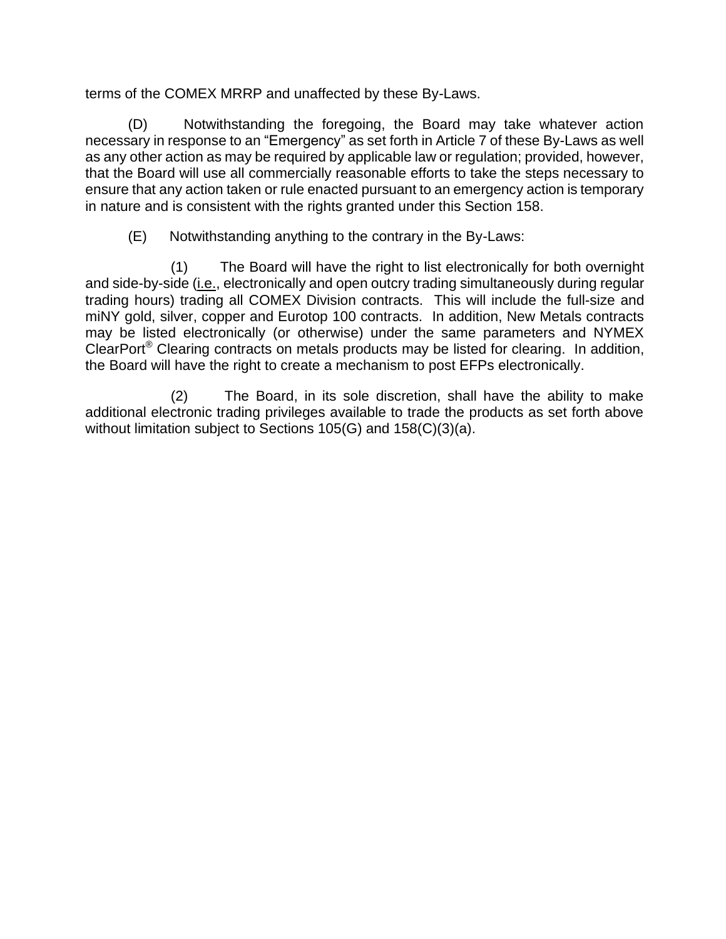terms of the COMEX MRRP and unaffected by these By-Laws.

(D) Notwithstanding the foregoing, the Board may take whatever action necessary in response to an "Emergency" as set forth in Article 7 of these By-Laws as well as any other action as may be required by applicable law or regulation; provided, however, that the Board will use all commercially reasonable efforts to take the steps necessary to ensure that any action taken or rule enacted pursuant to an emergency action is temporary in nature and is consistent with the rights granted under this Section 158.

(E) Notwithstanding anything to the contrary in the By-Laws:

(1) The Board will have the right to list electronically for both overnight and side-by-side (i.e., electronically and open outcry trading simultaneously during regular trading hours) trading all COMEX Division contracts. This will include the full-size and miNY gold, silver, copper and Eurotop 100 contracts. In addition, New Metals contracts may be listed electronically (or otherwise) under the same parameters and NYMEX ClearPort® Clearing contracts on metals products may be listed for clearing. In addition, the Board will have the right to create a mechanism to post EFPs electronically.

(2) The Board, in its sole discretion, shall have the ability to make additional electronic trading privileges available to trade the products as set forth above without limitation subject to Sections 105(G) and 158(C)(3)(a).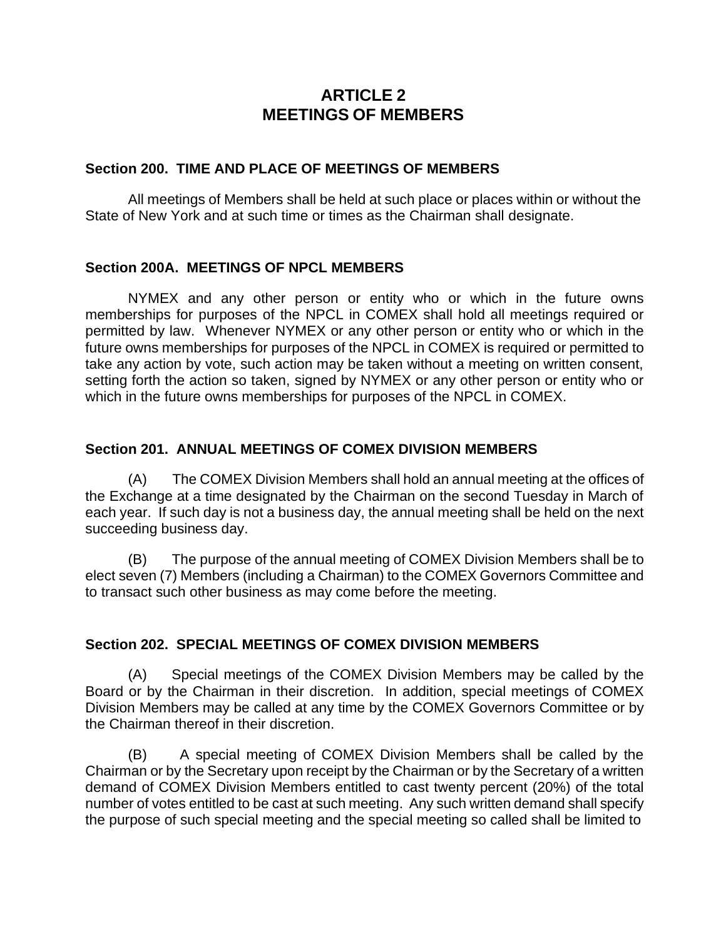# **ARTICLE 2 MEETINGS OF MEMBERS**

### **Section 200. TIME AND PLACE OF MEETINGS OF MEMBERS**

All meetings of Members shall be held at such place or places within or without the State of New York and at such time or times as the Chairman shall designate.

### **Section 200A. MEETINGS OF NPCL MEMBERS**

NYMEX and any other person or entity who or which in the future owns memberships for purposes of the NPCL in COMEX shall hold all meetings required or permitted by law. Whenever NYMEX or any other person or entity who or which in the future owns memberships for purposes of the NPCL in COMEX is required or permitted to take any action by vote, such action may be taken without a meeting on written consent, setting forth the action so taken, signed by NYMEX or any other person or entity who or which in the future owns memberships for purposes of the NPCL in COMEX.

## **Section 201. ANNUAL MEETINGS OF COMEX DIVISION MEMBERS**

(A) The COMEX Division Members shall hold an annual meeting at the offices of the Exchange at a time designated by the Chairman on the second Tuesday in March of each year. If such day is not a business day, the annual meeting shall be held on the next succeeding business day.

(B) The purpose of the annual meeting of COMEX Division Members shall be to elect seven (7) Members (including a Chairman) to the COMEX Governors Committee and to transact such other business as may come before the meeting.

## **Section 202. SPECIAL MEETINGS OF COMEX DIVISION MEMBERS**

(A) Special meetings of the COMEX Division Members may be called by the Board or by the Chairman in their discretion. In addition, special meetings of COMEX Division Members may be called at any time by the COMEX Governors Committee or by the Chairman thereof in their discretion.

(B) A special meeting of COMEX Division Members shall be called by the Chairman or by the Secretary upon receipt by the Chairman or by the Secretary of a written demand of COMEX Division Members entitled to cast twenty percent (20%) of the total number of votes entitled to be cast at such meeting. Any such written demand shall specify the purpose of such special meeting and the special meeting so called shall be limited to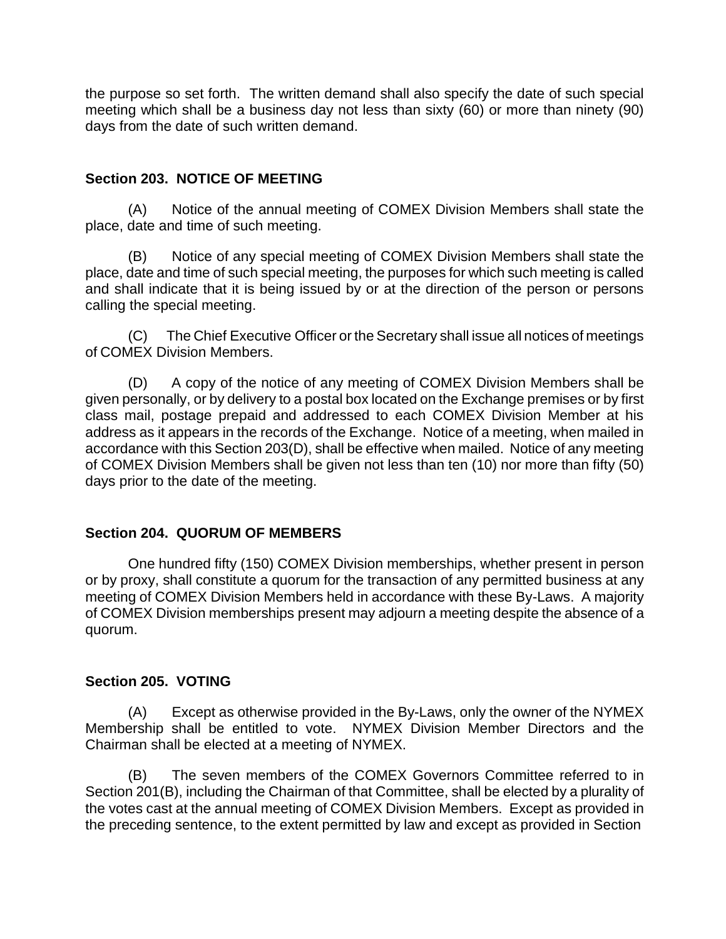the purpose so set forth. The written demand shall also specify the date of such special meeting which shall be a business day not less than sixty (60) or more than ninety (90) days from the date of such written demand.

# **Section 203. NOTICE OF MEETING**

(A) Notice of the annual meeting of COMEX Division Members shall state the place, date and time of such meeting.

(B) Notice of any special meeting of COMEX Division Members shall state the place, date and time of such special meeting, the purposes for which such meeting is called and shall indicate that it is being issued by or at the direction of the person or persons calling the special meeting.

(C) The Chief Executive Officer or the Secretary shall issue all notices of meetings of COMEX Division Members.

(D) A copy of the notice of any meeting of COMEX Division Members shall be given personally, or by delivery to a postal box located on the Exchange premises or by first class mail, postage prepaid and addressed to each COMEX Division Member at his address as it appears in the records of the Exchange. Notice of a meeting, when mailed in accordance with this Section 203(D), shall be effective when mailed. Notice of any meeting of COMEX Division Members shall be given not less than ten (10) nor more than fifty (50) days prior to the date of the meeting.

## **Section 204. QUORUM OF MEMBERS**

One hundred fifty (150) COMEX Division memberships, whether present in person or by proxy, shall constitute a quorum for the transaction of any permitted business at any meeting of COMEX Division Members held in accordance with these By-Laws. A majority of COMEX Division memberships present may adjourn a meeting despite the absence of a quorum.

## **Section 205. VOTING**

(A) Except as otherwise provided in the By-Laws, only the owner of the NYMEX Membership shall be entitled to vote. NYMEX Division Member Directors and the Chairman shall be elected at a meeting of NYMEX.

(B) The seven members of the COMEX Governors Committee referred to in Section 201(B), including the Chairman of that Committee, shall be elected by a plurality of the votes cast at the annual meeting of COMEX Division Members. Except as provided in the preceding sentence, to the extent permitted by law and except as provided in Section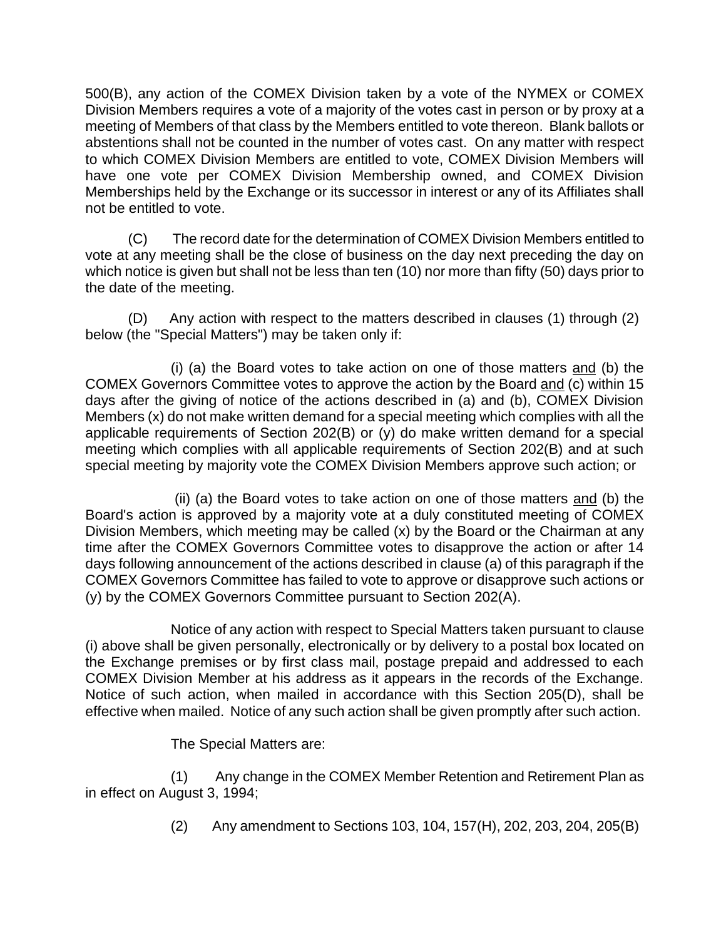500(B), any action of the COMEX Division taken by a vote of the NYMEX or COMEX Division Members requires a vote of a majority of the votes cast in person or by proxy at a meeting of Members of that class by the Members entitled to vote thereon. Blank ballots or abstentions shall not be counted in the number of votes cast. On any matter with respect to which COMEX Division Members are entitled to vote, COMEX Division Members will have one vote per COMEX Division Membership owned, and COMEX Division Memberships held by the Exchange or its successor in interest or any of its Affiliates shall not be entitled to vote.

(C) The record date for the determination of COMEX Division Members entitled to vote at any meeting shall be the close of business on the day next preceding the day on which notice is given but shall not be less than ten (10) nor more than fifty (50) days prior to the date of the meeting.

(D) Any action with respect to the matters described in clauses (1) through (2) below (the "Special Matters") may be taken only if:

(i) (a) the Board votes to take action on one of those matters and (b) the COMEX Governors Committee votes to approve the action by the Board and (c) within 15 days after the giving of notice of the actions described in (a) and (b), COMEX Division Members (x) do not make written demand for a special meeting which complies with all the applicable requirements of Section 202(B) or (y) do make written demand for a special meeting which complies with all applicable requirements of Section 202(B) and at such special meeting by majority vote the COMEX Division Members approve such action; or

(ii) (a) the Board votes to take action on one of those matters and (b) the Board's action is approved by a majority vote at a duly constituted meeting of COMEX Division Members, which meeting may be called (x) by the Board or the Chairman at any time after the COMEX Governors Committee votes to disapprove the action or after 14 days following announcement of the actions described in clause (a) of this paragraph if the COMEX Governors Committee has failed to vote to approve or disapprove such actions or (y) by the COMEX Governors Committee pursuant to Section 202(A).

Notice of any action with respect to Special Matters taken pursuant to clause (i) above shall be given personally, electronically or by delivery to a postal box located on the Exchange premises or by first class mail, postage prepaid and addressed to each COMEX Division Member at his address as it appears in the records of the Exchange. Notice of such action, when mailed in accordance with this Section 205(D), shall be effective when mailed. Notice of any such action shall be given promptly after such action.

The Special Matters are:

(1) Any change in the COMEX Member Retention and Retirement Plan as in effect on August 3, 1994;

(2) Any amendment to Sections 103, 104, 157(H), 202, 203, 204, 205(B)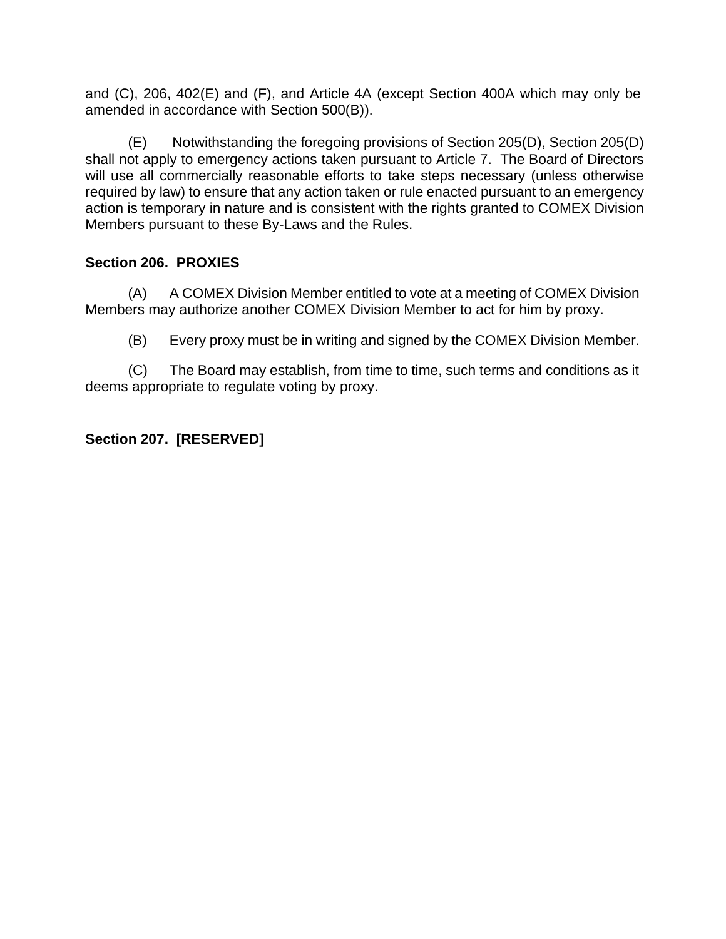and (C), 206, 402(E) and (F), and Article 4A (except Section 400A which may only be amended in accordance with Section 500(B)).

(E) Notwithstanding the foregoing provisions of Section 205(D), Section 205(D) shall not apply to emergency actions taken pursuant to Article 7. The Board of Directors will use all commercially reasonable efforts to take steps necessary (unless otherwise required by law) to ensure that any action taken or rule enacted pursuant to an emergency action is temporary in nature and is consistent with the rights granted to COMEX Division Members pursuant to these By-Laws and the Rules.

# **Section 206. PROXIES**

(A) A COMEX Division Member entitled to vote at a meeting of COMEX Division Members may authorize another COMEX Division Member to act for him by proxy.

(B) Every proxy must be in writing and signed by the COMEX Division Member.

(C) The Board may establish, from time to time, such terms and conditions as it deems appropriate to regulate voting by proxy.

# **Section 207. [RESERVED]**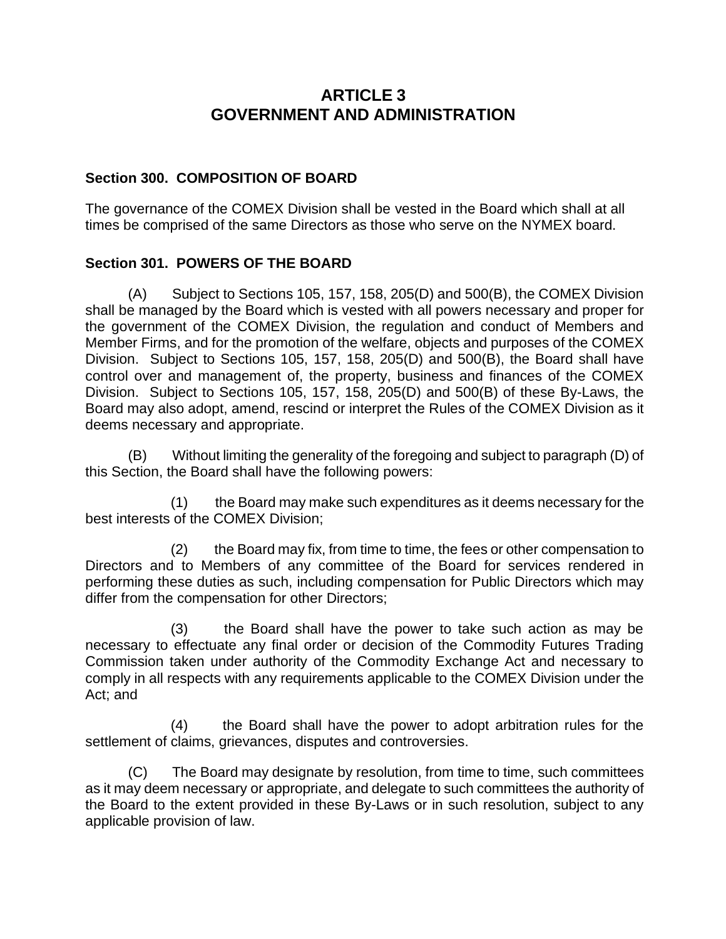# **ARTICLE 3 GOVERNMENT AND ADMINISTRATION**

# **Section 300. COMPOSITION OF BOARD**

The governance of the COMEX Division shall be vested in the Board which shall at all times be comprised of the same Directors as those who serve on the NYMEX board.

# **Section 301. POWERS OF THE BOARD**

(A) Subject to Sections 105, 157, 158, 205(D) and 500(B), the COMEX Division shall be managed by the Board which is vested with all powers necessary and proper for the government of the COMEX Division, the regulation and conduct of Members and Member Firms, and for the promotion of the welfare, objects and purposes of the COMEX Division. Subject to Sections 105, 157, 158, 205(D) and 500(B), the Board shall have control over and management of, the property, business and finances of the COMEX Division. Subject to Sections 105, 157, 158, 205(D) and 500(B) of these By-Laws, the Board may also adopt, amend, rescind or interpret the Rules of the COMEX Division as it deems necessary and appropriate.

(B) Without limiting the generality of the foregoing and subject to paragraph (D) of this Section, the Board shall have the following powers:

(1) the Board may make such expenditures as it deems necessary for the best interests of the COMEX Division;

(2) the Board may fix, from time to time, the fees or other compensation to Directors and to Members of any committee of the Board for services rendered in performing these duties as such, including compensation for Public Directors which may differ from the compensation for other Directors;

(3) the Board shall have the power to take such action as may be necessary to effectuate any final order or decision of the Commodity Futures Trading Commission taken under authority of the Commodity Exchange Act and necessary to comply in all respects with any requirements applicable to the COMEX Division under the Act; and

(4) the Board shall have the power to adopt arbitration rules for the settlement of claims, grievances, disputes and controversies.

(C) The Board may designate by resolution, from time to time, such committees as it may deem necessary or appropriate, and delegate to such committees the authority of the Board to the extent provided in these By-Laws or in such resolution, subject to any applicable provision of law.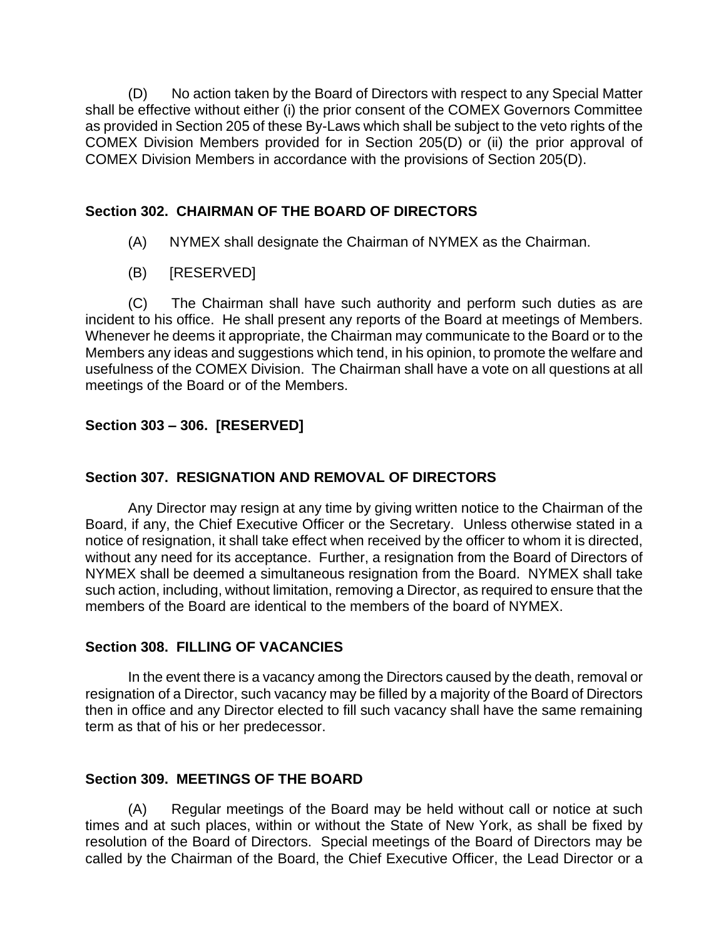(D) No action taken by the Board of Directors with respect to any Special Matter shall be effective without either (i) the prior consent of the COMEX Governors Committee as provided in Section 205 of these By-Laws which shall be subject to the veto rights of the COMEX Division Members provided for in Section 205(D) or (ii) the prior approval of COMEX Division Members in accordance with the provisions of Section 205(D).

# **Section 302. CHAIRMAN OF THE BOARD OF DIRECTORS**

- (A) NYMEX shall designate the Chairman of NYMEX as the Chairman.
- (B) [RESERVED]

(C) The Chairman shall have such authority and perform such duties as are incident to his office. He shall present any reports of the Board at meetings of Members. Whenever he deems it appropriate, the Chairman may communicate to the Board or to the Members any ideas and suggestions which tend, in his opinion, to promote the welfare and usefulness of the COMEX Division. The Chairman shall have a vote on all questions at all meetings of the Board or of the Members.

# **Section 303 – 306. [RESERVED]**

# **Section 307. RESIGNATION AND REMOVAL OF DIRECTORS**

Any Director may resign at any time by giving written notice to the Chairman of the Board, if any, the Chief Executive Officer or the Secretary. Unless otherwise stated in a notice of resignation, it shall take effect when received by the officer to whom it is directed, without any need for its acceptance. Further, a resignation from the Board of Directors of NYMEX shall be deemed a simultaneous resignation from the Board. NYMEX shall take such action, including, without limitation, removing a Director, as required to ensure that the members of the Board are identical to the members of the board of NYMEX.

## **Section 308. FILLING OF VACANCIES**

In the event there is a vacancy among the Directors caused by the death, removal or resignation of a Director, such vacancy may be filled by a majority of the Board of Directors then in office and any Director elected to fill such vacancy shall have the same remaining term as that of his or her predecessor.

# **Section 309. MEETINGS OF THE BOARD**

(A) Regular meetings of the Board may be held without call or notice at such times and at such places, within or without the State of New York, as shall be fixed by resolution of the Board of Directors. Special meetings of the Board of Directors may be called by the Chairman of the Board, the Chief Executive Officer, the Lead Director or a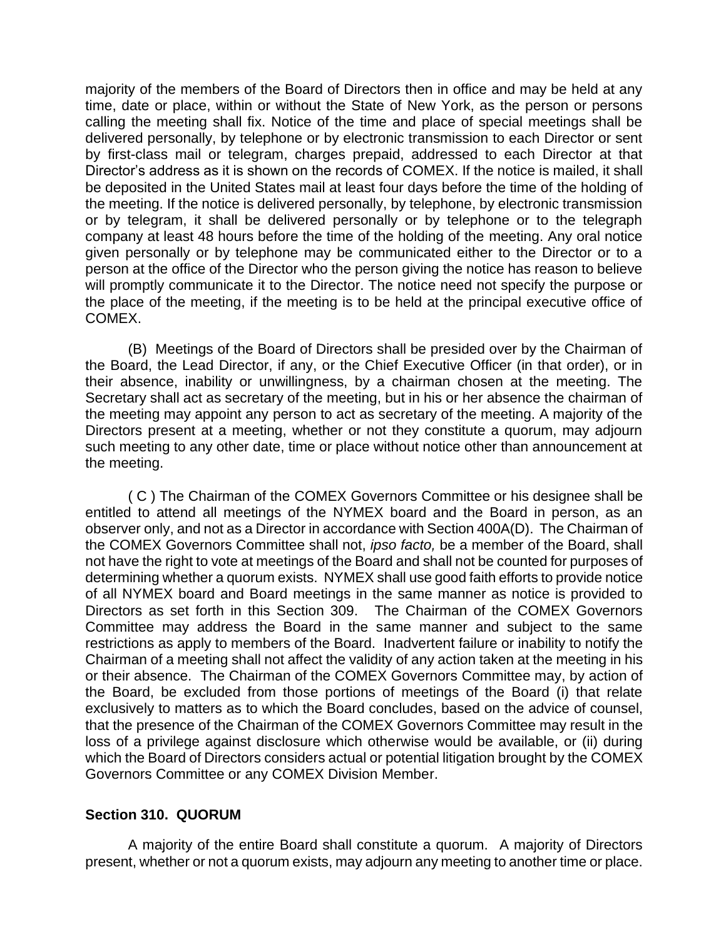majority of the members of the Board of Directors then in office and may be held at any time, date or place, within or without the State of New York, as the person or persons calling the meeting shall fix. Notice of the time and place of special meetings shall be delivered personally, by telephone or by electronic transmission to each Director or sent by first-class mail or telegram, charges prepaid, addressed to each Director at that Director's address as it is shown on the records of COMEX. If the notice is mailed, it shall be deposited in the United States mail at least four days before the time of the holding of the meeting. If the notice is delivered personally, by telephone, by electronic transmission or by telegram, it shall be delivered personally or by telephone or to the telegraph company at least 48 hours before the time of the holding of the meeting. Any oral notice given personally or by telephone may be communicated either to the Director or to a person at the office of the Director who the person giving the notice has reason to believe will promptly communicate it to the Director. The notice need not specify the purpose or the place of the meeting, if the meeting is to be held at the principal executive office of COMEX.

(B) Meetings of the Board of Directors shall be presided over by the Chairman of the Board, the Lead Director, if any, or the Chief Executive Officer (in that order), or in their absence, inability or unwillingness, by a chairman chosen at the meeting. The Secretary shall act as secretary of the meeting, but in his or her absence the chairman of the meeting may appoint any person to act as secretary of the meeting. A majority of the Directors present at a meeting, whether or not they constitute a quorum, may adjourn such meeting to any other date, time or place without notice other than announcement at the meeting.

( C ) The Chairman of the COMEX Governors Committee or his designee shall be entitled to attend all meetings of the NYMEX board and the Board in person, as an observer only, and not as a Director in accordance with Section 400A(D). The Chairman of the COMEX Governors Committee shall not, *ipso facto,* be a member of the Board, shall not have the right to vote at meetings of the Board and shall not be counted for purposes of determining whether a quorum exists. NYMEX shall use good faith efforts to provide notice of all NYMEX board and Board meetings in the same manner as notice is provided to Directors as set forth in this Section 309. The Chairman of the COMEX Governors Committee may address the Board in the same manner and subject to the same restrictions as apply to members of the Board. Inadvertent failure or inability to notify the Chairman of a meeting shall not affect the validity of any action taken at the meeting in his or their absence. The Chairman of the COMEX Governors Committee may, by action of the Board, be excluded from those portions of meetings of the Board (i) that relate exclusively to matters as to which the Board concludes, based on the advice of counsel, that the presence of the Chairman of the COMEX Governors Committee may result in the loss of a privilege against disclosure which otherwise would be available, or (ii) during which the Board of Directors considers actual or potential litigation brought by the COMEX Governors Committee or any COMEX Division Member.

## **Section 310. QUORUM**

A majority of the entire Board shall constitute a quorum. A majority of Directors present, whether or not a quorum exists, may adjourn any meeting to another time or place.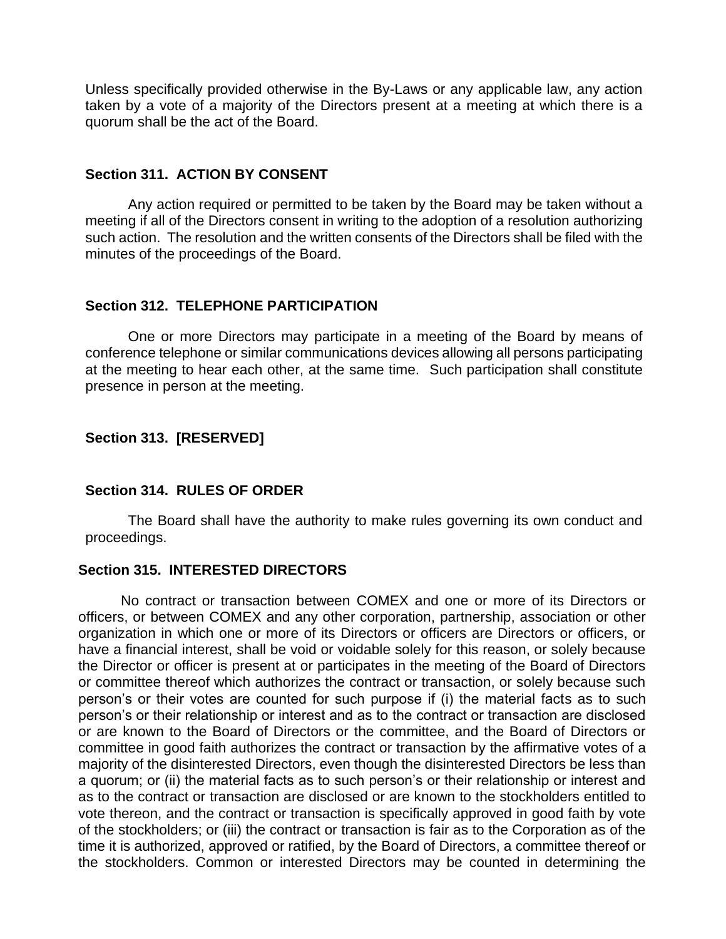Unless specifically provided otherwise in the By-Laws or any applicable law, any action taken by a vote of a majority of the Directors present at a meeting at which there is a quorum shall be the act of the Board.

#### **Section 311. ACTION BY CONSENT**

Any action required or permitted to be taken by the Board may be taken without a meeting if all of the Directors consent in writing to the adoption of a resolution authorizing such action. The resolution and the written consents of the Directors shall be filed with the minutes of the proceedings of the Board.

### **Section 312. TELEPHONE PARTICIPATION**

One or more Directors may participate in a meeting of the Board by means of conference telephone or similar communications devices allowing all persons participating at the meeting to hear each other, at the same time. Such participation shall constitute presence in person at the meeting.

## **Section 313. [RESERVED]**

#### **Section 314. RULES OF ORDER**

The Board shall have the authority to make rules governing its own conduct and proceedings.

## **Section 315. INTERESTED DIRECTORS**

No contract or transaction between COMEX and one or more of its Directors or officers, or between COMEX and any other corporation, partnership, association or other organization in which one or more of its Directors or officers are Directors or officers, or have a financial interest, shall be void or voidable solely for this reason, or solely because the Director or officer is present at or participates in the meeting of the Board of Directors or committee thereof which authorizes the contract or transaction, or solely because such person's or their votes are counted for such purpose if (i) the material facts as to such person's or their relationship or interest and as to the contract or transaction are disclosed or are known to the Board of Directors or the committee, and the Board of Directors or committee in good faith authorizes the contract or transaction by the affirmative votes of a majority of the disinterested Directors, even though the disinterested Directors be less than a quorum; or (ii) the material facts as to such person's or their relationship or interest and as to the contract or transaction are disclosed or are known to the stockholders entitled to vote thereon, and the contract or transaction is specifically approved in good faith by vote of the stockholders; or (iii) the contract or transaction is fair as to the Corporation as of the time it is authorized, approved or ratified, by the Board of Directors, a committee thereof or the stockholders. Common or interested Directors may be counted in determining the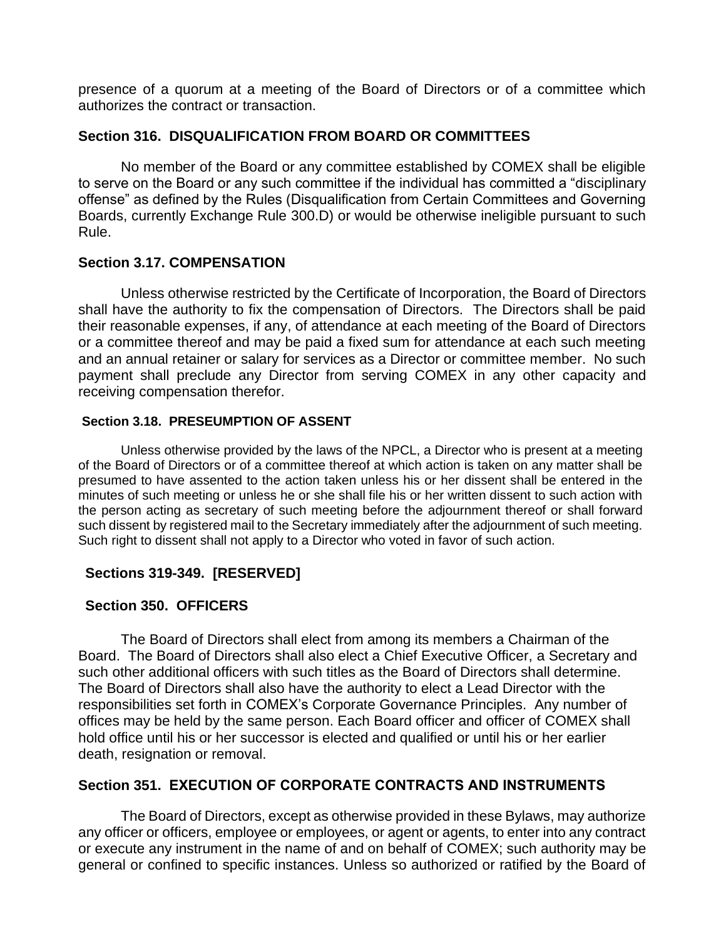presence of a quorum at a meeting of the Board of Directors or of a committee which authorizes the contract or transaction.

### **Section 316. DISQUALIFICATION FROM BOARD OR COMMITTEES**

No member of the Board or any committee established by COMEX shall be eligible to serve on the Board or any such committee if the individual has committed a "disciplinary offense" as defined by the Rules (Disqualification from Certain Committees and Governing Boards, currently Exchange Rule 300.D) or would be otherwise ineligible pursuant to such Rule.

## **Section 3.17. COMPENSATION**

Unless otherwise restricted by the Certificate of Incorporation, the Board of Directors shall have the authority to fix the compensation of Directors. The Directors shall be paid their reasonable expenses, if any, of attendance at each meeting of the Board of Directors or a committee thereof and may be paid a fixed sum for attendance at each such meeting and an annual retainer or salary for services as a Director or committee member. No such payment shall preclude any Director from serving COMEX in any other capacity and receiving compensation therefor.

#### **Section 3.18. PRESEUMPTION OF ASSENT**

Unless otherwise provided by the laws of the NPCL, a Director who is present at a meeting of the Board of Directors or of a committee thereof at which action is taken on any matter shall be presumed to have assented to the action taken unless his or her dissent shall be entered in the minutes of such meeting or unless he or she shall file his or her written dissent to such action with the person acting as secretary of such meeting before the adjournment thereof or shall forward such dissent by registered mail to the Secretary immediately after the adjournment of such meeting. Such right to dissent shall not apply to a Director who voted in favor of such action.

## **Sections 319-349. [RESERVED]**

## **Section 350. OFFICERS**

The Board of Directors shall elect from among its members a Chairman of the Board. The Board of Directors shall also elect a Chief Executive Officer, a Secretary and such other additional officers with such titles as the Board of Directors shall determine. The Board of Directors shall also have the authority to elect a Lead Director with the responsibilities set forth in COMEX's Corporate Governance Principles. Any number of offices may be held by the same person. Each Board officer and officer of COMEX shall hold office until his or her successor is elected and qualified or until his or her earlier death, resignation or removal.

# **Section 351. EXECUTION OF CORPORATE CONTRACTS AND INSTRUMENTS**

The Board of Directors, except as otherwise provided in these Bylaws, may authorize any officer or officers, employee or employees, or agent or agents, to enter into any contract or execute any instrument in the name of and on behalf of COMEX; such authority may be general or confined to specific instances. Unless so authorized or ratified by the Board of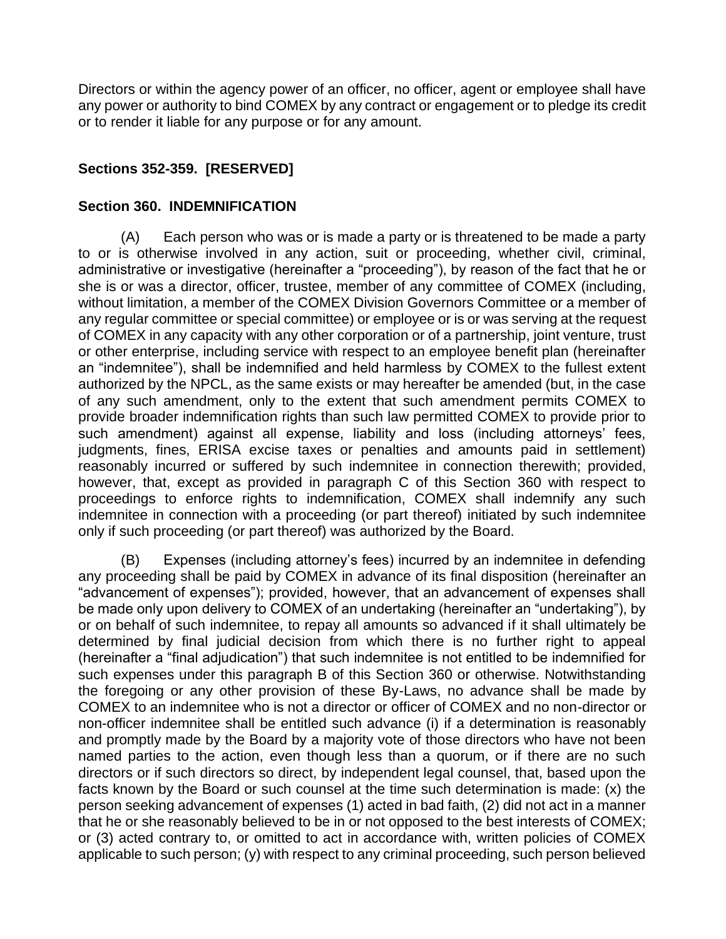Directors or within the agency power of an officer, no officer, agent or employee shall have any power or authority to bind COMEX by any contract or engagement or to pledge its credit or to render it liable for any purpose or for any amount.

# **Sections 352-359. [RESERVED]**

### **Section 360. INDEMNIFICATION**

(A) Each person who was or is made a party or is threatened to be made a party to or is otherwise involved in any action, suit or proceeding, whether civil, criminal, administrative or investigative (hereinafter a "proceeding"), by reason of the fact that he or she is or was a director, officer, trustee, member of any committee of COMEX (including, without limitation, a member of the COMEX Division Governors Committee or a member of any regular committee or special committee) or employee or is or was serving at the request of COMEX in any capacity with any other corporation or of a partnership, joint venture, trust or other enterprise, including service with respect to an employee benefit plan (hereinafter an "indemnitee"), shall be indemnified and held harmless by COMEX to the fullest extent authorized by the NPCL, as the same exists or may hereafter be amended (but, in the case of any such amendment, only to the extent that such amendment permits COMEX to provide broader indemnification rights than such law permitted COMEX to provide prior to such amendment) against all expense, liability and loss (including attorneys' fees, judgments, fines, ERISA excise taxes or penalties and amounts paid in settlement) reasonably incurred or suffered by such indemnitee in connection therewith; provided, however, that, except as provided in paragraph C of this Section 360 with respect to proceedings to enforce rights to indemnification, COMEX shall indemnify any such indemnitee in connection with a proceeding (or part thereof) initiated by such indemnitee only if such proceeding (or part thereof) was authorized by the Board.

(B) Expenses (including attorney's fees) incurred by an indemnitee in defending any proceeding shall be paid by COMEX in advance of its final disposition (hereinafter an "advancement of expenses"); provided, however, that an advancement of expenses shall be made only upon delivery to COMEX of an undertaking (hereinafter an "undertaking"), by or on behalf of such indemnitee, to repay all amounts so advanced if it shall ultimately be determined by final judicial decision from which there is no further right to appeal (hereinafter a "final adjudication") that such indemnitee is not entitled to be indemnified for such expenses under this paragraph B of this Section 360 or otherwise. Notwithstanding the foregoing or any other provision of these By-Laws, no advance shall be made by COMEX to an indemnitee who is not a director or officer of COMEX and no non-director or non-officer indemnitee shall be entitled such advance (i) if a determination is reasonably and promptly made by the Board by a majority vote of those directors who have not been named parties to the action, even though less than a quorum, or if there are no such directors or if such directors so direct, by independent legal counsel, that, based upon the facts known by the Board or such counsel at the time such determination is made: (x) the person seeking advancement of expenses (1) acted in bad faith, (2) did not act in a manner that he or she reasonably believed to be in or not opposed to the best interests of COMEX; or (3) acted contrary to, or omitted to act in accordance with, written policies of COMEX applicable to such person; (y) with respect to any criminal proceeding, such person believed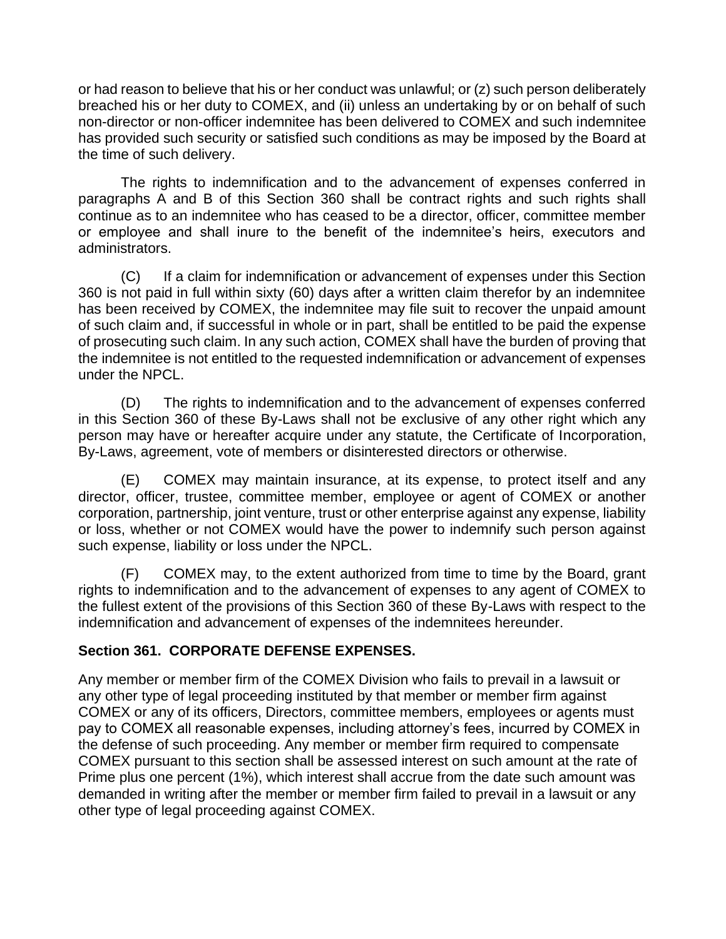or had reason to believe that his or her conduct was unlawful; or (z) such person deliberately breached his or her duty to COMEX, and (ii) unless an undertaking by or on behalf of such non-director or non-officer indemnitee has been delivered to COMEX and such indemnitee has provided such security or satisfied such conditions as may be imposed by the Board at the time of such delivery.

The rights to indemnification and to the advancement of expenses conferred in paragraphs A and B of this Section 360 shall be contract rights and such rights shall continue as to an indemnitee who has ceased to be a director, officer, committee member or employee and shall inure to the benefit of the indemnitee's heirs, executors and administrators.

(C) If a claim for indemnification or advancement of expenses under this Section 360 is not paid in full within sixty (60) days after a written claim therefor by an indemnitee has been received by COMEX, the indemnitee may file suit to recover the unpaid amount of such claim and, if successful in whole or in part, shall be entitled to be paid the expense of prosecuting such claim. In any such action, COMEX shall have the burden of proving that the indemnitee is not entitled to the requested indemnification or advancement of expenses under the NPCL.

(D) The rights to indemnification and to the advancement of expenses conferred in this Section 360 of these By-Laws shall not be exclusive of any other right which any person may have or hereafter acquire under any statute, the Certificate of Incorporation, By-Laws, agreement, vote of members or disinterested directors or otherwise.

(E) COMEX may maintain insurance, at its expense, to protect itself and any director, officer, trustee, committee member, employee or agent of COMEX or another corporation, partnership, joint venture, trust or other enterprise against any expense, liability or loss, whether or not COMEX would have the power to indemnify such person against such expense, liability or loss under the NPCL.

(F) COMEX may, to the extent authorized from time to time by the Board, grant rights to indemnification and to the advancement of expenses to any agent of COMEX to the fullest extent of the provisions of this Section 360 of these By-Laws with respect to the indemnification and advancement of expenses of the indemnitees hereunder.

# **Section 361. CORPORATE DEFENSE EXPENSES.**

Any member or member firm of the COMEX Division who fails to prevail in a lawsuit or any other type of legal proceeding instituted by that member or member firm against COMEX or any of its officers, Directors, committee members, employees or agents must pay to COMEX all reasonable expenses, including attorney's fees, incurred by COMEX in the defense of such proceeding. Any member or member firm required to compensate COMEX pursuant to this section shall be assessed interest on such amount at the rate of Prime plus one percent (1%), which interest shall accrue from the date such amount was demanded in writing after the member or member firm failed to prevail in a lawsuit or any other type of legal proceeding against COMEX.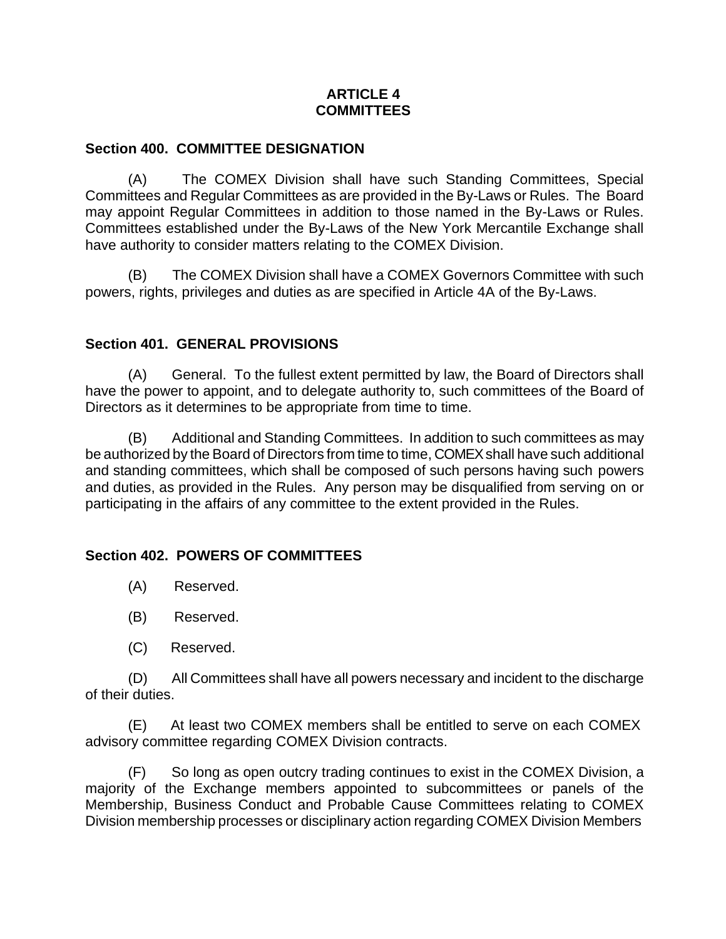# **ARTICLE 4 COMMITTEES**

## **Section 400. COMMITTEE DESIGNATION**

(A) The COMEX Division shall have such Standing Committees, Special Committees and Regular Committees as are provided in the By-Laws or Rules. The Board may appoint Regular Committees in addition to those named in the By-Laws or Rules. Committees established under the By-Laws of the New York Mercantile Exchange shall have authority to consider matters relating to the COMEX Division.

(B) The COMEX Division shall have a COMEX Governors Committee with such powers, rights, privileges and duties as are specified in Article 4A of the By-Laws.

## **Section 401. GENERAL PROVISIONS**

(A) General. To the fullest extent permitted by law, the Board of Directors shall have the power to appoint, and to delegate authority to, such committees of the Board of Directors as it determines to be appropriate from time to time.

(B) Additional and Standing Committees. In addition to such committees as may be authorized by the Board of Directors from time to time, COMEXshall have such additional and standing committees, which shall be composed of such persons having such powers and duties, as provided in the Rules. Any person may be disqualified from serving on or participating in the affairs of any committee to the extent provided in the Rules.

## **Section 402. POWERS OF COMMITTEES**

- (A) Reserved.
- (B) Reserved.
- (C) Reserved.

(D) All Committees shall have all powers necessary and incident to the discharge of their duties.

(E) At least two COMEX members shall be entitled to serve on each COMEX advisory committee regarding COMEX Division contracts.

(F) So long as open outcry trading continues to exist in the COMEX Division, a majority of the Exchange members appointed to subcommittees or panels of the Membership, Business Conduct and Probable Cause Committees relating to COMEX Division membership processes or disciplinary action regarding COMEX Division Members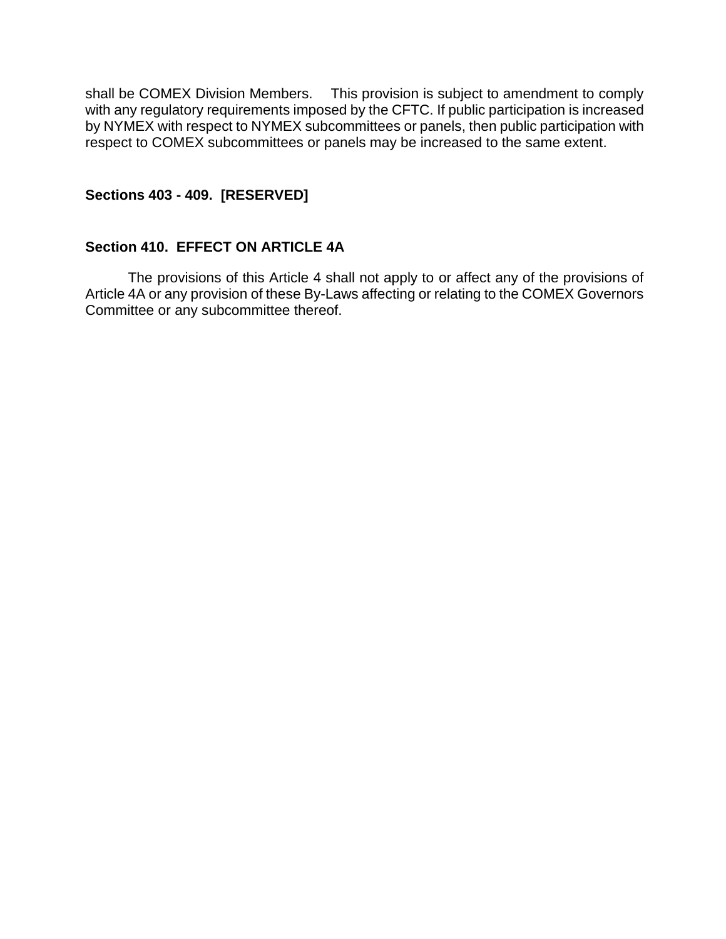shall be COMEX Division Members. This provision is subject to amendment to comply with any regulatory requirements imposed by the CFTC. If public participation is increased by NYMEX with respect to NYMEX subcommittees or panels, then public participation with respect to COMEX subcommittees or panels may be increased to the same extent.

### **Sections 403 - 409. [RESERVED]**

#### **Section 410. EFFECT ON ARTICLE 4A**

The provisions of this Article 4 shall not apply to or affect any of the provisions of Article 4A or any provision of these By-Laws affecting or relating to the COMEX Governors Committee or any subcommittee thereof.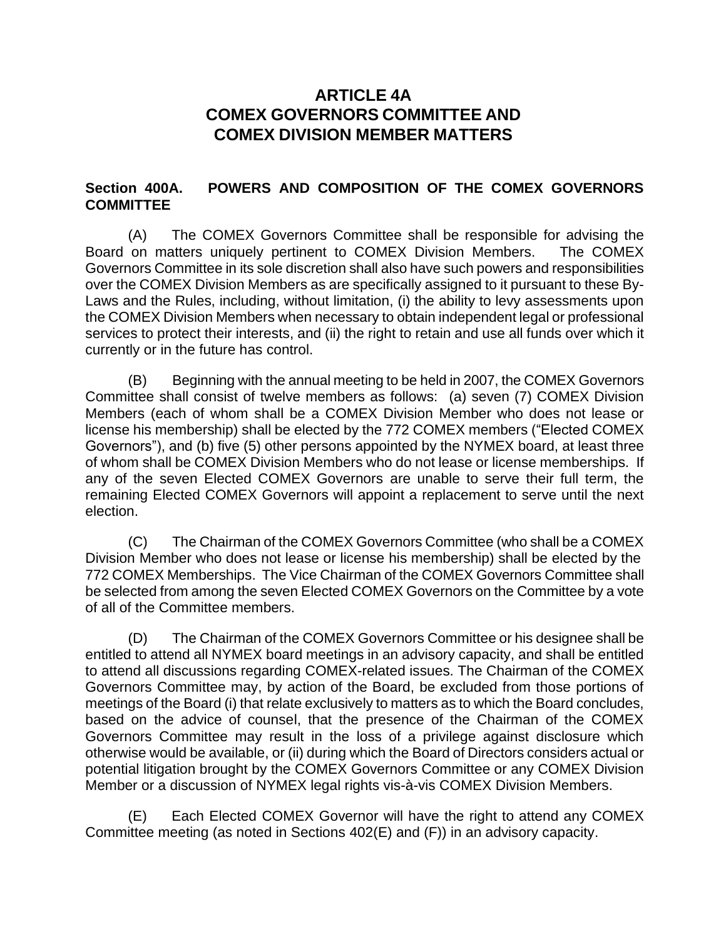# **ARTICLE 4A COMEX GOVERNORS COMMITTEE AND COMEX DIVISION MEMBER MATTERS**

# **Section 400A. POWERS AND COMPOSITION OF THE COMEX GOVERNORS COMMITTEE**

(A) The COMEX Governors Committee shall be responsible for advising the Board on matters uniquely pertinent to COMEX Division Members. The COMEX Governors Committee in its sole discretion shall also have such powers and responsibilities over the COMEX Division Members as are specifically assigned to it pursuant to these By-Laws and the Rules, including, without limitation, (i) the ability to levy assessments upon the COMEX Division Members when necessary to obtain independent legal or professional services to protect their interests, and (ii) the right to retain and use all funds over which it currently or in the future has control.

(B) Beginning with the annual meeting to be held in 2007, the COMEX Governors Committee shall consist of twelve members as follows: (a) seven (7) COMEX Division Members (each of whom shall be a COMEX Division Member who does not lease or license his membership) shall be elected by the 772 COMEX members ("Elected COMEX Governors"), and (b) five (5) other persons appointed by the NYMEX board, at least three of whom shall be COMEX Division Members who do not lease or license memberships. If any of the seven Elected COMEX Governors are unable to serve their full term, the remaining Elected COMEX Governors will appoint a replacement to serve until the next election.

(C) The Chairman of the COMEX Governors Committee (who shall be a COMEX Division Member who does not lease or license his membership) shall be elected by the 772 COMEX Memberships. The Vice Chairman of the COMEX Governors Committee shall be selected from among the seven Elected COMEX Governors on the Committee by a vote of all of the Committee members.

(D) The Chairman of the COMEX Governors Committee or his designee shall be entitled to attend all NYMEX board meetings in an advisory capacity, and shall be entitled to attend all discussions regarding COMEX-related issues. The Chairman of the COMEX Governors Committee may, by action of the Board, be excluded from those portions of meetings of the Board (i) that relate exclusively to matters as to which the Board concludes, based on the advice of counsel, that the presence of the Chairman of the COMEX Governors Committee may result in the loss of a privilege against disclosure which otherwise would be available, or (ii) during which the Board of Directors considers actual or potential litigation brought by the COMEX Governors Committee or any COMEX Division Member or a discussion of NYMEX legal rights vis-à-vis COMEX Division Members.

(E) Each Elected COMEX Governor will have the right to attend any COMEX Committee meeting (as noted in Sections 402(E) and (F)) in an advisory capacity.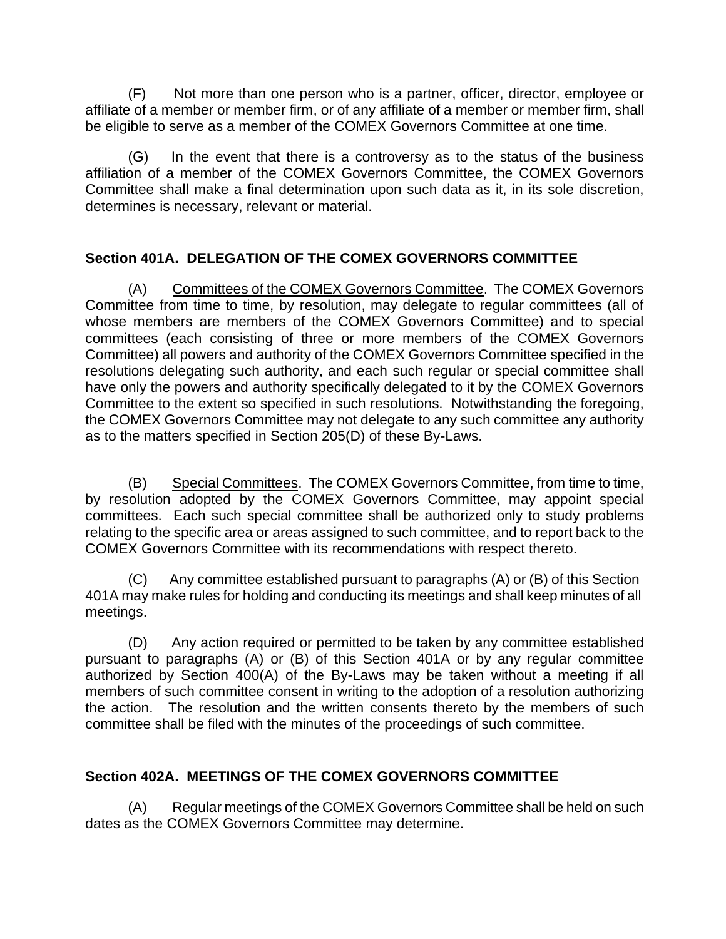(F) Not more than one person who is a partner, officer, director, employee or affiliate of a member or member firm, or of any affiliate of a member or member firm, shall be eligible to serve as a member of the COMEX Governors Committee at one time.

(G) In the event that there is a controversy as to the status of the business affiliation of a member of the COMEX Governors Committee, the COMEX Governors Committee shall make a final determination upon such data as it, in its sole discretion, determines is necessary, relevant or material.

# **Section 401A. DELEGATION OF THE COMEX GOVERNORS COMMITTEE**

(A) Committees of the COMEX Governors Committee. The COMEX Governors Committee from time to time, by resolution, may delegate to regular committees (all of whose members are members of the COMEX Governors Committee) and to special committees (each consisting of three or more members of the COMEX Governors Committee) all powers and authority of the COMEX Governors Committee specified in the resolutions delegating such authority, and each such regular or special committee shall have only the powers and authority specifically delegated to it by the COMEX Governors Committee to the extent so specified in such resolutions. Notwithstanding the foregoing, the COMEX Governors Committee may not delegate to any such committee any authority as to the matters specified in Section 205(D) of these By-Laws.

(B) Special Committees. The COMEX Governors Committee, from time to time, by resolution adopted by the COMEX Governors Committee, may appoint special committees. Each such special committee shall be authorized only to study problems relating to the specific area or areas assigned to such committee, and to report back to the COMEX Governors Committee with its recommendations with respect thereto.

(C) Any committee established pursuant to paragraphs (A) or (B) of this Section 401A may make rules for holding and conducting its meetings and shall keep minutes of all meetings.

(D) Any action required or permitted to be taken by any committee established pursuant to paragraphs (A) or (B) of this Section 401A or by any regular committee authorized by Section 400(A) of the By-Laws may be taken without a meeting if all members of such committee consent in writing to the adoption of a resolution authorizing the action. The resolution and the written consents thereto by the members of such committee shall be filed with the minutes of the proceedings of such committee.

## **Section 402A. MEETINGS OF THE COMEX GOVERNORS COMMITTEE**

(A) Regular meetings of the COMEX Governors Committee shall be held on such dates as the COMEX Governors Committee may determine.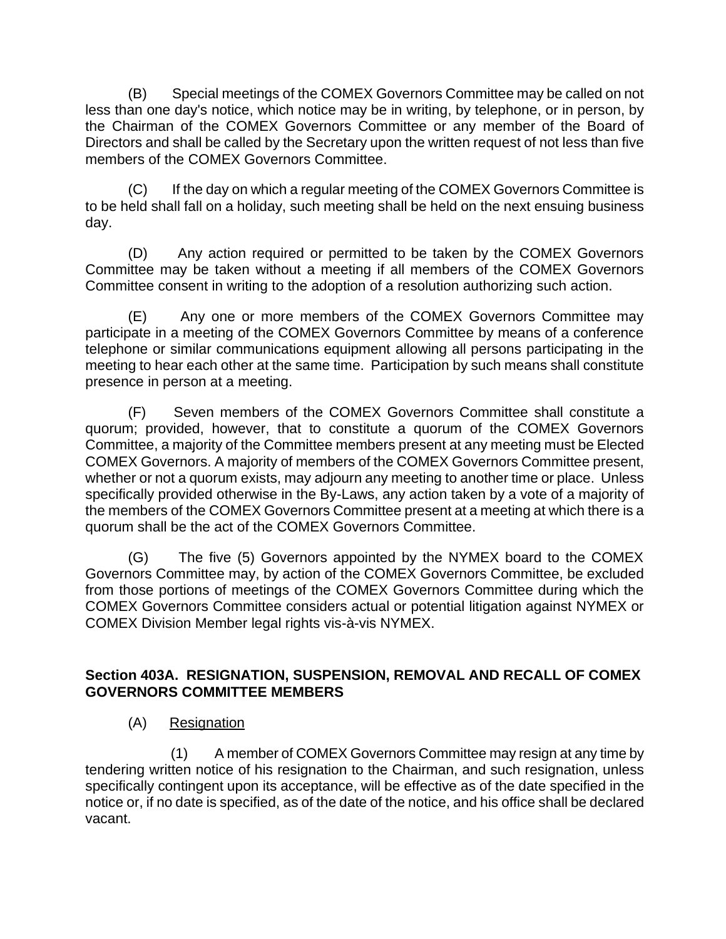(B) Special meetings of the COMEX Governors Committee may be called on not less than one day's notice, which notice may be in writing, by telephone, or in person, by the Chairman of the COMEX Governors Committee or any member of the Board of Directors and shall be called by the Secretary upon the written request of not less than five members of the COMEX Governors Committee.

(C) If the day on which a regular meeting of the COMEX Governors Committee is to be held shall fall on a holiday, such meeting shall be held on the next ensuing business day.

(D) Any action required or permitted to be taken by the COMEX Governors Committee may be taken without a meeting if all members of the COMEX Governors Committee consent in writing to the adoption of a resolution authorizing such action.

(E) Any one or more members of the COMEX Governors Committee may participate in a meeting of the COMEX Governors Committee by means of a conference telephone or similar communications equipment allowing all persons participating in the meeting to hear each other at the same time. Participation by such means shall constitute presence in person at a meeting.

(F) Seven members of the COMEX Governors Committee shall constitute a quorum; provided, however, that to constitute a quorum of the COMEX Governors Committee, a majority of the Committee members present at any meeting must be Elected COMEX Governors. A majority of members of the COMEX Governors Committee present, whether or not a quorum exists, may adjourn any meeting to another time or place. Unless specifically provided otherwise in the By-Laws, any action taken by a vote of a majority of the members of the COMEX Governors Committee present at a meeting at which there is a quorum shall be the act of the COMEX Governors Committee.

(G) The five (5) Governors appointed by the NYMEX board to the COMEX Governors Committee may, by action of the COMEX Governors Committee, be excluded from those portions of meetings of the COMEX Governors Committee during which the COMEX Governors Committee considers actual or potential litigation against NYMEX or COMEX Division Member legal rights vis-à-vis NYMEX.

# **Section 403A. RESIGNATION, SUSPENSION, REMOVAL AND RECALL OF COMEX GOVERNORS COMMITTEE MEMBERS**

(A) Resignation

(1) A member of COMEX Governors Committee may resign at any time by tendering written notice of his resignation to the Chairman, and such resignation, unless specifically contingent upon its acceptance, will be effective as of the date specified in the notice or, if no date is specified, as of the date of the notice, and his office shall be declared vacant.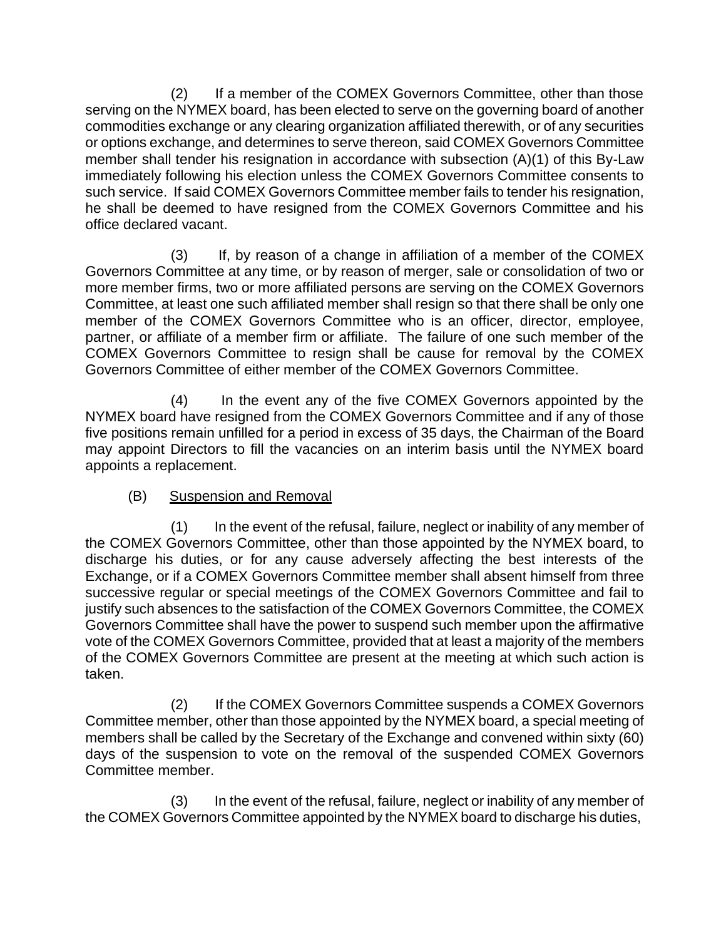(2) If a member of the COMEX Governors Committee, other than those serving on the NYMEX board, has been elected to serve on the governing board of another commodities exchange or any clearing organization affiliated therewith, or of any securities or options exchange, and determines to serve thereon, said COMEX Governors Committee member shall tender his resignation in accordance with subsection (A)(1) of this By-Law immediately following his election unless the COMEX Governors Committee consents to such service. If said COMEX Governors Committee member fails to tender his resignation, he shall be deemed to have resigned from the COMEX Governors Committee and his office declared vacant.

(3) If, by reason of a change in affiliation of a member of the COMEX Governors Committee at any time, or by reason of merger, sale or consolidation of two or more member firms, two or more affiliated persons are serving on the COMEX Governors Committee, at least one such affiliated member shall resign so that there shall be only one member of the COMEX Governors Committee who is an officer, director, employee, partner, or affiliate of a member firm or affiliate. The failure of one such member of the COMEX Governors Committee to resign shall be cause for removal by the COMEX Governors Committee of either member of the COMEX Governors Committee.

(4) In the event any of the five COMEX Governors appointed by the NYMEX board have resigned from the COMEX Governors Committee and if any of those five positions remain unfilled for a period in excess of 35 days, the Chairman of the Board may appoint Directors to fill the vacancies on an interim basis until the NYMEX board appoints a replacement.

# (B) Suspension and Removal

(1) In the event of the refusal, failure, neglect or inability of any member of the COMEX Governors Committee, other than those appointed by the NYMEX board, to discharge his duties, or for any cause adversely affecting the best interests of the Exchange, or if a COMEX Governors Committee member shall absent himself from three successive regular or special meetings of the COMEX Governors Committee and fail to justify such absences to the satisfaction of the COMEX Governors Committee, the COMEX Governors Committee shall have the power to suspend such member upon the affirmative vote of the COMEX Governors Committee, provided that at least a majority of the members of the COMEX Governors Committee are present at the meeting at which such action is taken.

(2) If the COMEX Governors Committee suspends a COMEX Governors Committee member, other than those appointed by the NYMEX board, a special meeting of members shall be called by the Secretary of the Exchange and convened within sixty (60) days of the suspension to vote on the removal of the suspended COMEX Governors Committee member.

(3) In the event of the refusal, failure, neglect or inability of any member of the COMEX Governors Committee appointed by the NYMEX board to discharge his duties,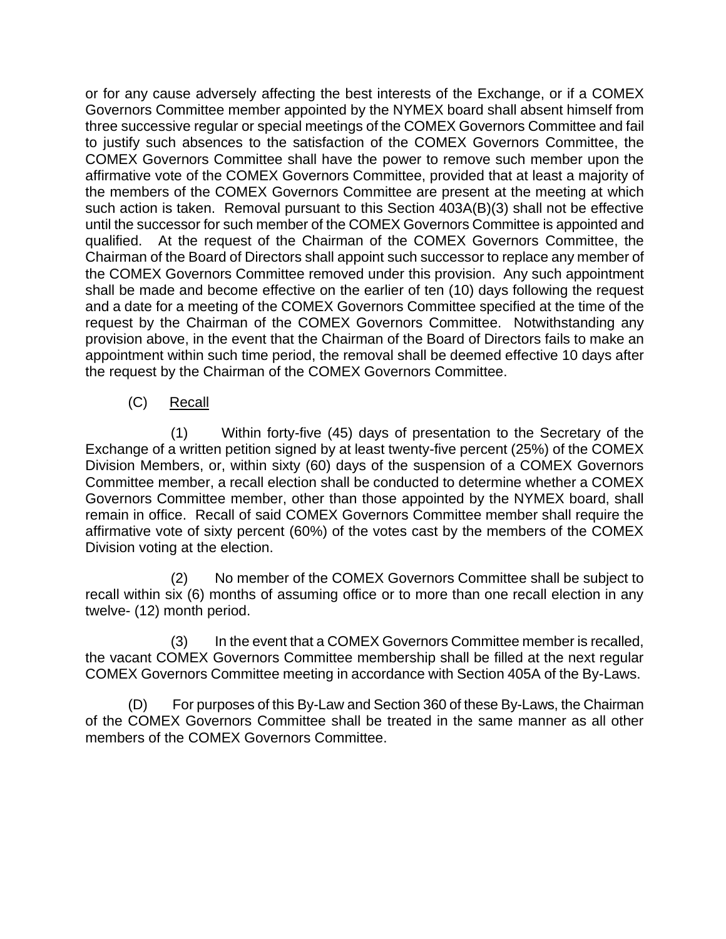or for any cause adversely affecting the best interests of the Exchange, or if a COMEX Governors Committee member appointed by the NYMEX board shall absent himself from three successive regular or special meetings of the COMEX Governors Committee and fail to justify such absences to the satisfaction of the COMEX Governors Committee, the COMEX Governors Committee shall have the power to remove such member upon the affirmative vote of the COMEX Governors Committee, provided that at least a majority of the members of the COMEX Governors Committee are present at the meeting at which such action is taken. Removal pursuant to this Section 403A(B)(3) shall not be effective until the successor for such member of the COMEX Governors Committee is appointed and qualified. At the request of the Chairman of the COMEX Governors Committee, the Chairman of the Board of Directors shall appoint such successor to replace any member of the COMEX Governors Committee removed under this provision. Any such appointment shall be made and become effective on the earlier of ten (10) days following the request and a date for a meeting of the COMEX Governors Committee specified at the time of the request by the Chairman of the COMEX Governors Committee. Notwithstanding any provision above, in the event that the Chairman of the Board of Directors fails to make an appointment within such time period, the removal shall be deemed effective 10 days after the request by the Chairman of the COMEX Governors Committee.

(C) Recall

(1) Within forty-five (45) days of presentation to the Secretary of the Exchange of a written petition signed by at least twenty-five percent (25%) of the COMEX Division Members, or, within sixty (60) days of the suspension of a COMEX Governors Committee member, a recall election shall be conducted to determine whether a COMEX Governors Committee member, other than those appointed by the NYMEX board, shall remain in office. Recall of said COMEX Governors Committee member shall require the affirmative vote of sixty percent (60%) of the votes cast by the members of the COMEX Division voting at the election.

(2) No member of the COMEX Governors Committee shall be subject to recall within six (6) months of assuming office or to more than one recall election in any twelve- (12) month period.

(3) In the event that a COMEX Governors Committee member is recalled, the vacant COMEX Governors Committee membership shall be filled at the next regular COMEX Governors Committee meeting in accordance with Section 405A of the By-Laws.

(D) For purposes of this By-Law and Section 360 of these By-Laws, the Chairman of the COMEX Governors Committee shall be treated in the same manner as all other members of the COMEX Governors Committee.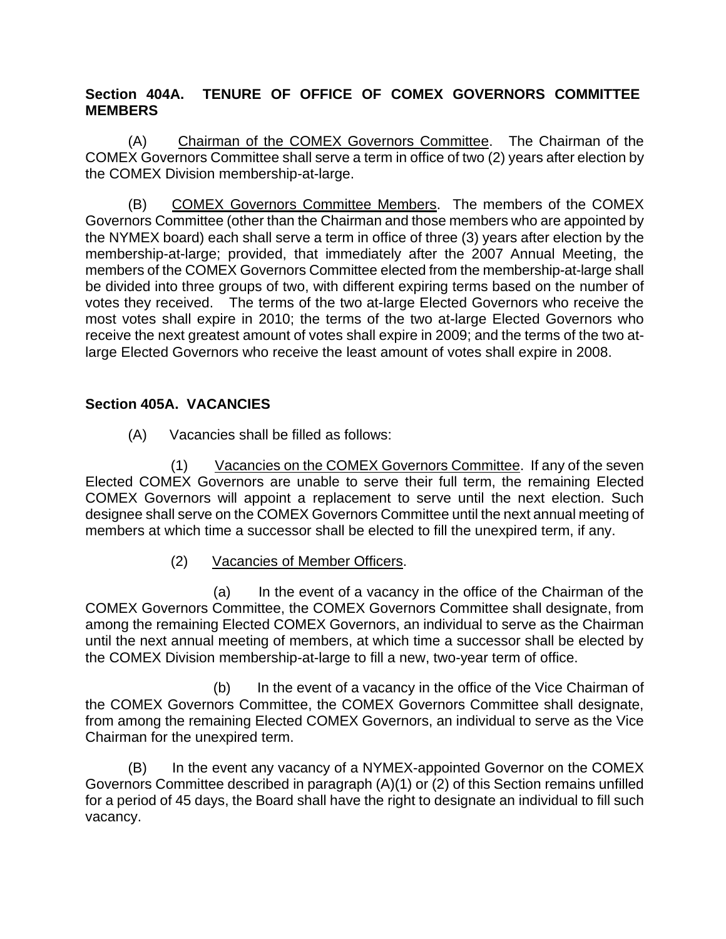# **Section 404A. TENURE OF OFFICE OF COMEX GOVERNORS COMMITTEE MEMBERS**

(A) Chairman of the COMEX Governors Committee. The Chairman of the COMEX Governors Committee shall serve a term in office of two (2) years after election by the COMEX Division membership-at-large.

(B) COMEX Governors Committee Members. The members of the COMEX Governors Committee (other than the Chairman and those members who are appointed by the NYMEX board) each shall serve a term in office of three (3) years after election by the membership-at-large; provided, that immediately after the 2007 Annual Meeting, the members of the COMEX Governors Committee elected from the membership-at-large shall be divided into three groups of two, with different expiring terms based on the number of votes they received. The terms of the two at-large Elected Governors who receive the most votes shall expire in 2010; the terms of the two at-large Elected Governors who receive the next greatest amount of votes shall expire in 2009; and the terms of the two atlarge Elected Governors who receive the least amount of votes shall expire in 2008.

# **Section 405A. VACANCIES**

(A) Vacancies shall be filled as follows:

(1) Vacancies on the COMEX Governors Committee. If any of the seven Elected COMEX Governors are unable to serve their full term, the remaining Elected COMEX Governors will appoint a replacement to serve until the next election. Such designee shall serve on the COMEX Governors Committee until the next annual meeting of members at which time a successor shall be elected to fill the unexpired term, if any.

(2) Vacancies of Member Officers.

(a) In the event of a vacancy in the office of the Chairman of the COMEX Governors Committee, the COMEX Governors Committee shall designate, from among the remaining Elected COMEX Governors, an individual to serve as the Chairman until the next annual meeting of members, at which time a successor shall be elected by the COMEX Division membership-at-large to fill a new, two-year term of office.

(b) In the event of a vacancy in the office of the Vice Chairman of the COMEX Governors Committee, the COMEX Governors Committee shall designate, from among the remaining Elected COMEX Governors, an individual to serve as the Vice Chairman for the unexpired term.

(B) In the event any vacancy of a NYMEX-appointed Governor on the COMEX Governors Committee described in paragraph (A)(1) or (2) of this Section remains unfilled for a period of 45 days, the Board shall have the right to designate an individual to fill such vacancy.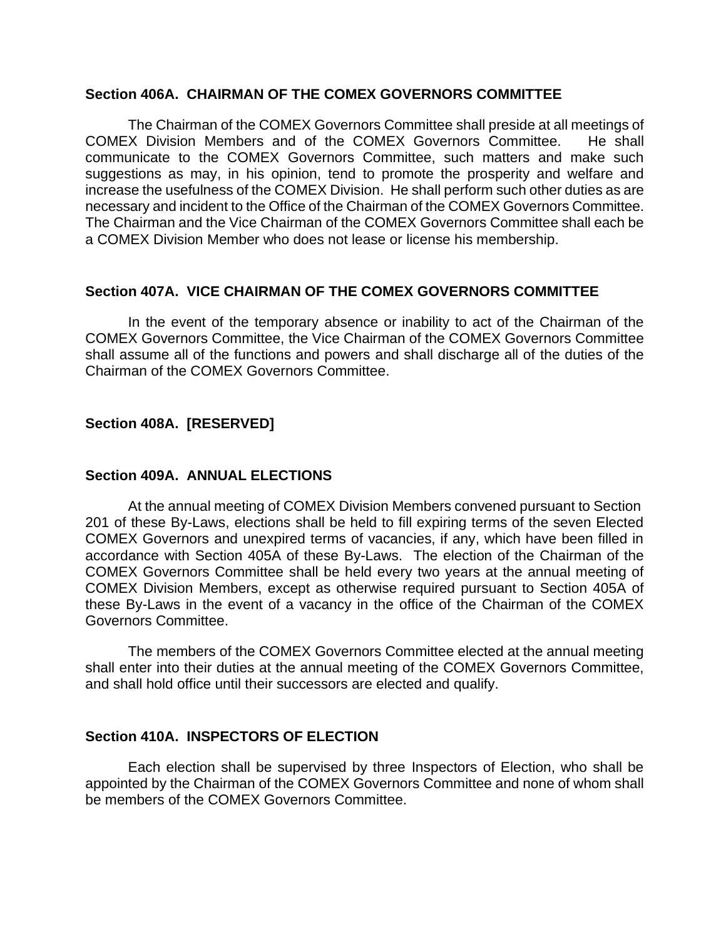#### **Section 406A. CHAIRMAN OF THE COMEX GOVERNORS COMMITTEE**

The Chairman of the COMEX Governors Committee shall preside at all meetings of COMEX Division Members and of the COMEX Governors Committee. He shall communicate to the COMEX Governors Committee, such matters and make such suggestions as may, in his opinion, tend to promote the prosperity and welfare and increase the usefulness of the COMEX Division. He shall perform such other duties as are necessary and incident to the Office of the Chairman of the COMEX Governors Committee. The Chairman and the Vice Chairman of the COMEX Governors Committee shall each be a COMEX Division Member who does not lease or license his membership.

### **Section 407A. VICE CHAIRMAN OF THE COMEX GOVERNORS COMMITTEE**

In the event of the temporary absence or inability to act of the Chairman of the COMEX Governors Committee, the Vice Chairman of the COMEX Governors Committee shall assume all of the functions and powers and shall discharge all of the duties of the Chairman of the COMEX Governors Committee.

## **Section 408A. [RESERVED]**

## **Section 409A. ANNUAL ELECTIONS**

At the annual meeting of COMEX Division Members convened pursuant to Section 201 of these By-Laws, elections shall be held to fill expiring terms of the seven Elected COMEX Governors and unexpired terms of vacancies, if any, which have been filled in accordance with Section 405A of these By-Laws. The election of the Chairman of the COMEX Governors Committee shall be held every two years at the annual meeting of COMEX Division Members, except as otherwise required pursuant to Section 405A of these By-Laws in the event of a vacancy in the office of the Chairman of the COMEX Governors Committee.

The members of the COMEX Governors Committee elected at the annual meeting shall enter into their duties at the annual meeting of the COMEX Governors Committee, and shall hold office until their successors are elected and qualify.

## **Section 410A. INSPECTORS OF ELECTION**

Each election shall be supervised by three Inspectors of Election, who shall be appointed by the Chairman of the COMEX Governors Committee and none of whom shall be members of the COMEX Governors Committee.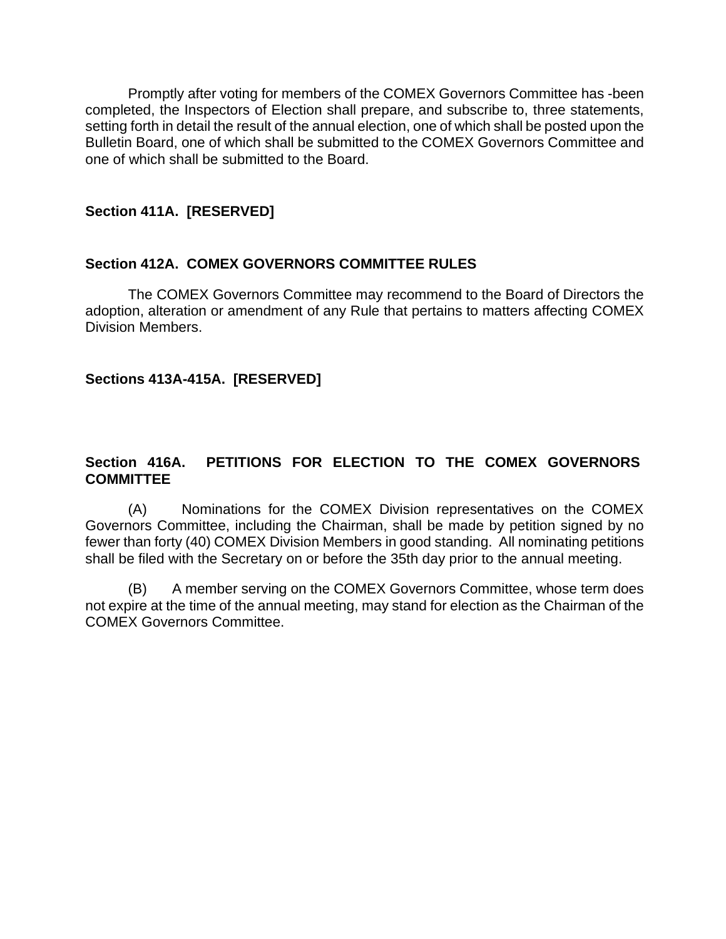Promptly after voting for members of the COMEX Governors Committee has -been completed, the Inspectors of Election shall prepare, and subscribe to, three statements, setting forth in detail the result of the annual election, one of which shall be posted upon the Bulletin Board, one of which shall be submitted to the COMEX Governors Committee and one of which shall be submitted to the Board.

### **Section 411A. [RESERVED]**

### **Section 412A. COMEX GOVERNORS COMMITTEE RULES**

The COMEX Governors Committee may recommend to the Board of Directors the adoption, alteration or amendment of any Rule that pertains to matters affecting COMEX Division Members.

### **Sections 413A-415A. [RESERVED]**

## **Section 416A. PETITIONS FOR ELECTION TO THE COMEX GOVERNORS COMMITTEE**

(A) Nominations for the COMEX Division representatives on the COMEX Governors Committee, including the Chairman, shall be made by petition signed by no fewer than forty (40) COMEX Division Members in good standing. All nominating petitions shall be filed with the Secretary on or before the 35th day prior to the annual meeting.

(B) A member serving on the COMEX Governors Committee, whose term does not expire at the time of the annual meeting, may stand for election as the Chairman of the COMEX Governors Committee.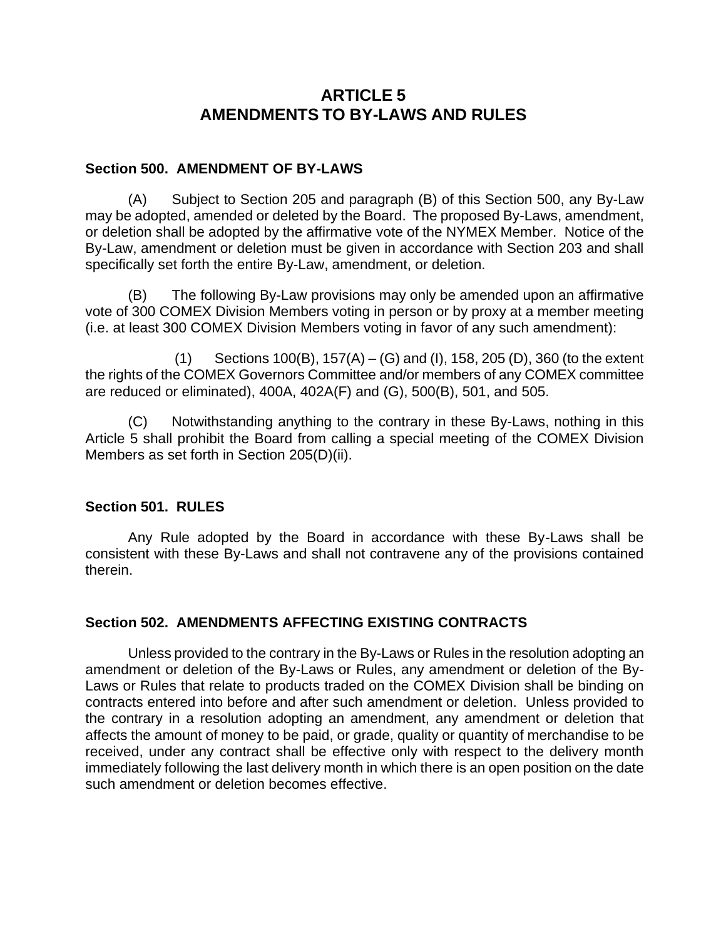# **ARTICLE 5 AMENDMENTS TO BY-LAWS AND RULES**

## **Section 500. AMENDMENT OF BY-LAWS**

(A) Subject to Section 205 and paragraph (B) of this Section 500, any By-Law may be adopted, amended or deleted by the Board. The proposed By-Laws, amendment, or deletion shall be adopted by the affirmative vote of the NYMEX Member. Notice of the By-Law, amendment or deletion must be given in accordance with Section 203 and shall specifically set forth the entire By-Law, amendment, or deletion.

(B) The following By-Law provisions may only be amended upon an affirmative vote of 300 COMEX Division Members voting in person or by proxy at a member meeting (i.e. at least 300 COMEX Division Members voting in favor of any such amendment):

(1) Sections 100(B), 157(A) – (G) and (I), 158, 205 (D), 360 (to the extent the rights of the COMEX Governors Committee and/or members of any COMEX committee are reduced or eliminated), 400A, 402A(F) and (G), 500(B), 501, and 505.

(C) Notwithstanding anything to the contrary in these By-Laws, nothing in this Article 5 shall prohibit the Board from calling a special meeting of the COMEX Division Members as set forth in Section 205(D)(ii).

## **Section 501. RULES**

Any Rule adopted by the Board in accordance with these By-Laws shall be consistent with these By-Laws and shall not contravene any of the provisions contained therein.

## **Section 502. AMENDMENTS AFFECTING EXISTING CONTRACTS**

Unless provided to the contrary in the By-Laws or Rules in the resolution adopting an amendment or deletion of the By-Laws or Rules, any amendment or deletion of the By-Laws or Rules that relate to products traded on the COMEX Division shall be binding on contracts entered into before and after such amendment or deletion. Unless provided to the contrary in a resolution adopting an amendment, any amendment or deletion that affects the amount of money to be paid, or grade, quality or quantity of merchandise to be received, under any contract shall be effective only with respect to the delivery month immediately following the last delivery month in which there is an open position on the date such amendment or deletion becomes effective.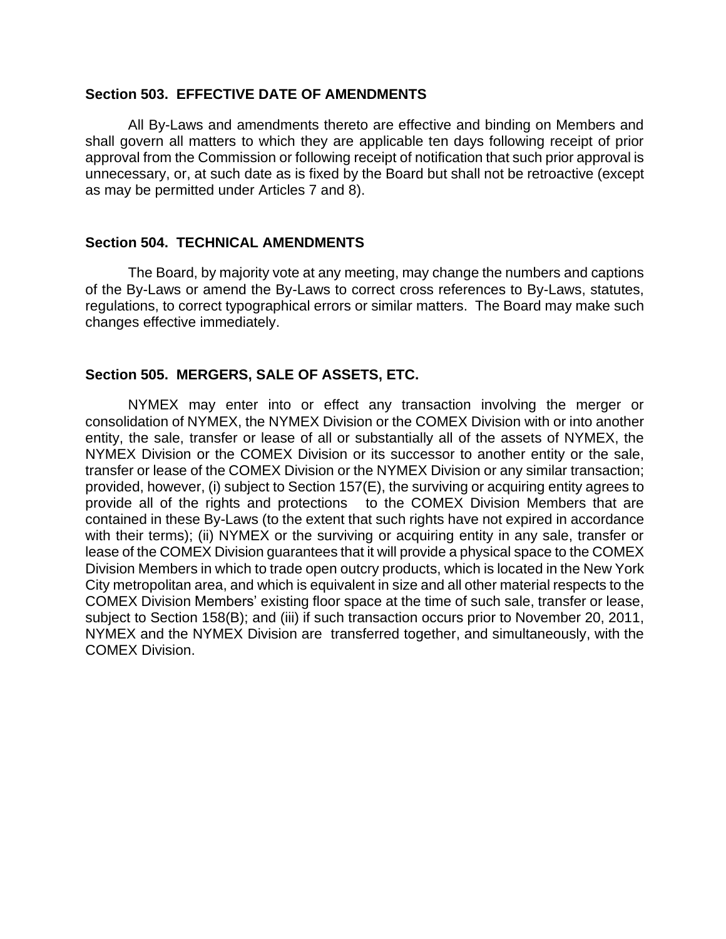#### **Section 503. EFFECTIVE DATE OF AMENDMENTS**

All By-Laws and amendments thereto are effective and binding on Members and shall govern all matters to which they are applicable ten days following receipt of prior approval from the Commission or following receipt of notification that such prior approval is unnecessary, or, at such date as is fixed by the Board but shall not be retroactive (except as may be permitted under Articles 7 and 8).

#### **Section 504. TECHNICAL AMENDMENTS**

The Board, by majority vote at any meeting, may change the numbers and captions of the By-Laws or amend the By-Laws to correct cross references to By-Laws, statutes, regulations, to correct typographical errors or similar matters. The Board may make such changes effective immediately.

### **Section 505. MERGERS, SALE OF ASSETS, ETC.**

NYMEX may enter into or effect any transaction involving the merger or consolidation of NYMEX, the NYMEX Division or the COMEX Division with or into another entity, the sale, transfer or lease of all or substantially all of the assets of NYMEX, the NYMEX Division or the COMEX Division or its successor to another entity or the sale, transfer or lease of the COMEX Division or the NYMEX Division or any similar transaction; provided, however, (i) subject to Section 157(E), the surviving or acquiring entity agrees to provide all of the rights and protections to the COMEX Division Members that are contained in these By-Laws (to the extent that such rights have not expired in accordance with their terms); (ii) NYMEX or the surviving or acquiring entity in any sale, transfer or lease of the COMEX Division guarantees that it will provide a physical space to the COMEX Division Members in which to trade open outcry products, which is located in the New York City metropolitan area, and which is equivalent in size and all other material respects to the COMEX Division Members' existing floor space at the time of such sale, transfer or lease, subject to Section 158(B); and (iii) if such transaction occurs prior to November 20, 2011, NYMEX and the NYMEX Division are transferred together, and simultaneously, with the COMEX Division.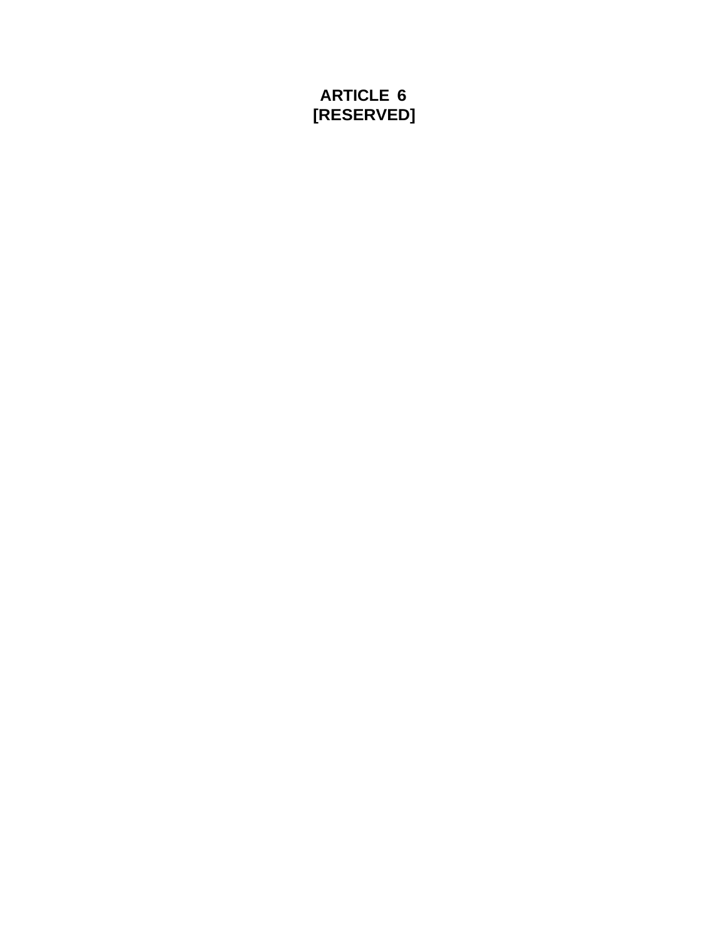# **ARTICLE 6 [RESERVED]**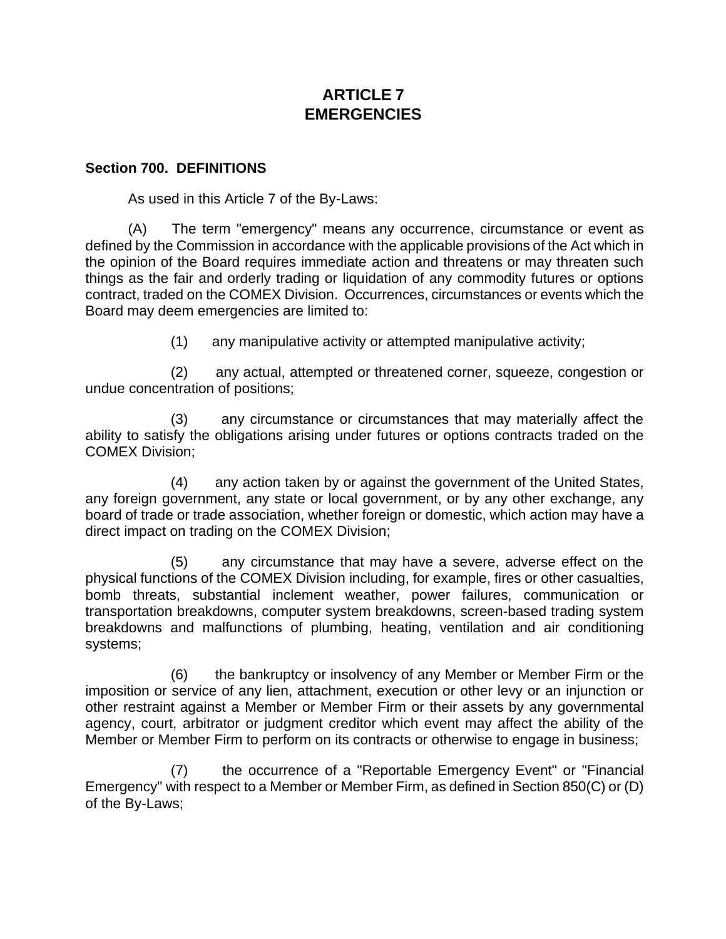# **ARTICLE 7 EMERGENCIES**

### **Section 700. DEFINITIONS**

As used in this Article 7 of the By-Laws:

(A) The term "emergency" means any occurrence, circumstance or event as defined by the Commission in accordance with the applicable provisions of the Act which in the opinion of the Board requires immediate action and threatens or may threaten such things as the fair and orderly trading or liquidation of any commodity futures or options contract, traded on the COMEX Division. Occurrences, circumstances or events which the Board may deem emergencies are limited to:

(1) any manipulative activity or attempted manipulative activity;

(2) any actual, attempted or threatened corner, squeeze, congestion or undue concentration of positions;

(3) any circumstance or circumstances that may materially affect the ability to satisfy the obligations arising under futures or options contracts traded on the COMEX Division;

(4) any action taken by or against the government of the United States, any foreign government, any state or local government, or by any other exchange, any board of trade or trade association, whether foreign or domestic, which action may have a direct impact on trading on the COMEX Division;

(5) any circumstance that may have a severe, adverse effect on the physical functions of the COMEX Division including, for example, fires or other casualties, bomb threats, substantial inclement weather, power failures, communication or transportation breakdowns, computer system breakdowns, screen-based trading system breakdowns and malfunctions of plumbing, heating, ventilation and air conditioning systems;

(6) the bankruptcy or insolvency of any Member or Member Firm or the imposition or service of any lien, attachment, execution or other levy or an injunction or other restraint against a Member or Member Firm or their assets by any governmental agency, court, arbitrator or judgment creditor which event may affect the ability of the Member or Member Firm to perform on its contracts or otherwise to engage in business;

(7) the occurrence of a "Reportable Emergency Event" or "Financial Emergency" with respect to a Member or Member Firm, as defined in Section 850(C) or (D) of the By-Laws;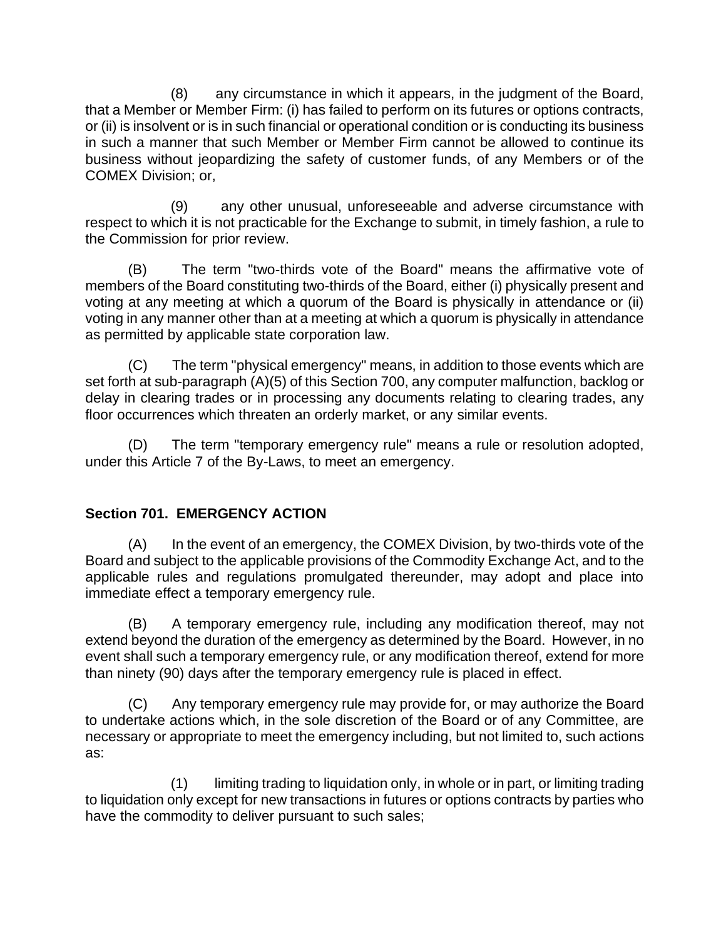(8) any circumstance in which it appears, in the judgment of the Board, that a Member or Member Firm: (i) has failed to perform on its futures or options contracts, or (ii) is insolvent or is in such financial or operational condition or is conducting its business in such a manner that such Member or Member Firm cannot be allowed to continue its business without jeopardizing the safety of customer funds, of any Members or of the COMEX Division; or,

(9) any other unusual, unforeseeable and adverse circumstance with respect to which it is not practicable for the Exchange to submit, in timely fashion, a rule to the Commission for prior review.

(B) The term "two-thirds vote of the Board" means the affirmative vote of members of the Board constituting two-thirds of the Board, either (i) physically present and voting at any meeting at which a quorum of the Board is physically in attendance or (ii) voting in any manner other than at a meeting at which a quorum is physically in attendance as permitted by applicable state corporation law.

(C) The term "physical emergency" means, in addition to those events which are set forth at sub-paragraph (A)(5) of this Section 700, any computer malfunction, backlog or delay in clearing trades or in processing any documents relating to clearing trades, any floor occurrences which threaten an orderly market, or any similar events.

(D) The term "temporary emergency rule" means a rule or resolution adopted, under this Article 7 of the By-Laws, to meet an emergency.

# **Section 701. EMERGENCY ACTION**

(A) In the event of an emergency, the COMEX Division, by two-thirds vote of the Board and subject to the applicable provisions of the Commodity Exchange Act, and to the applicable rules and regulations promulgated thereunder, may adopt and place into immediate effect a temporary emergency rule.

(B) A temporary emergency rule, including any modification thereof, may not extend beyond the duration of the emergency as determined by the Board. However, in no event shall such a temporary emergency rule, or any modification thereof, extend for more than ninety (90) days after the temporary emergency rule is placed in effect.

(C) Any temporary emergency rule may provide for, or may authorize the Board to undertake actions which, in the sole discretion of the Board or of any Committee, are necessary or appropriate to meet the emergency including, but not limited to, such actions as:

(1) limiting trading to liquidation only, in whole or in part, or limiting trading to liquidation only except for new transactions in futures or options contracts by parties who have the commodity to deliver pursuant to such sales;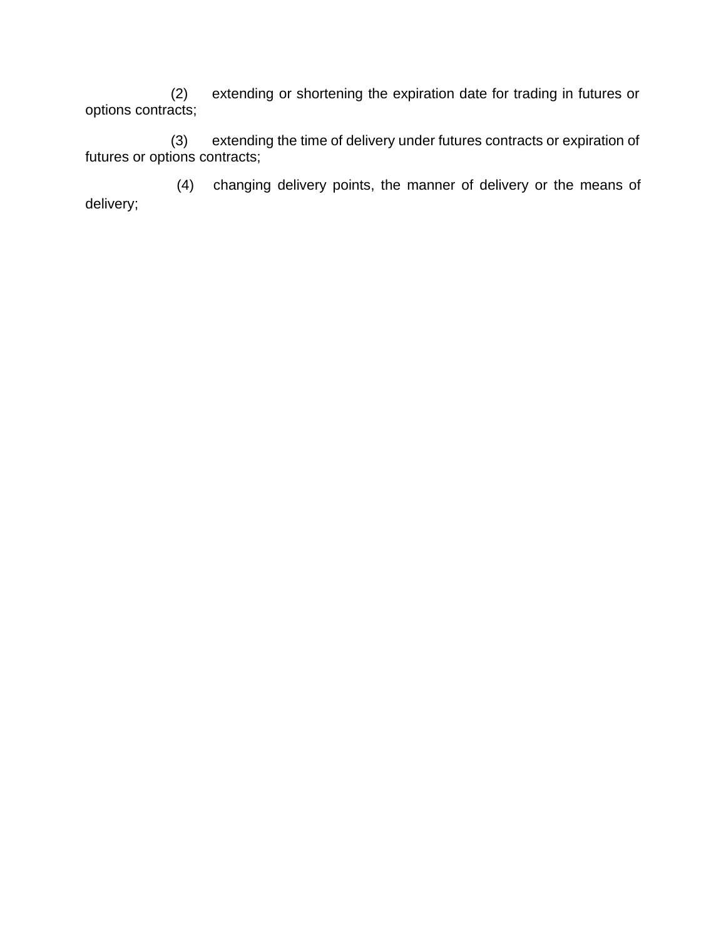(2) extending or shortening the expiration date for trading in futures or options contracts;

extending the time of delivery under futures contracts or expiration of (3) extendin<br>futures or options contracts;

delivery; (4) changing delivery points, the manner of delivery or the means of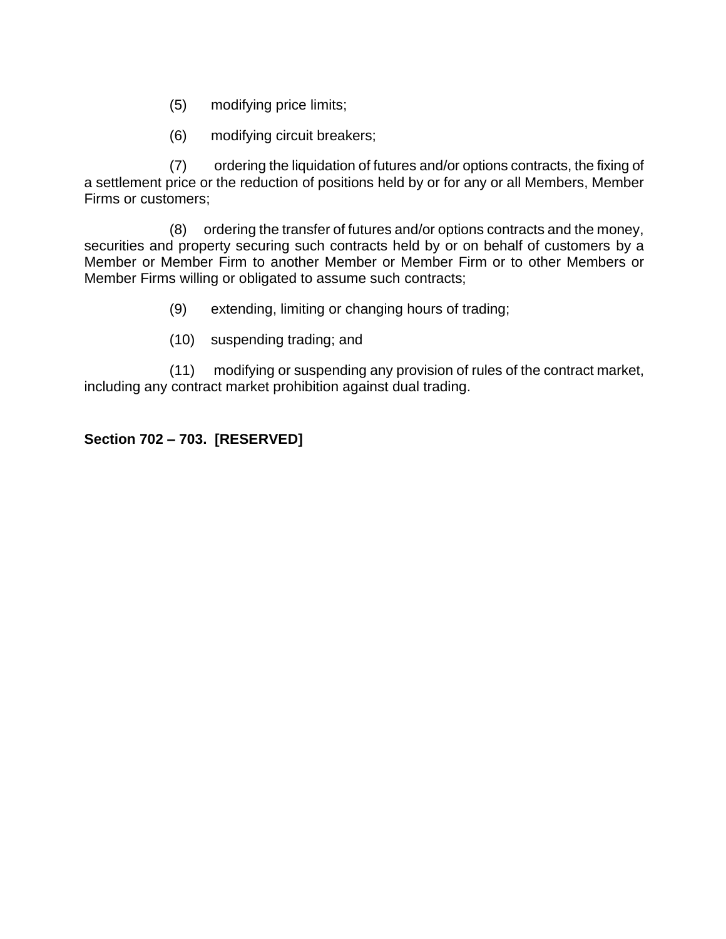- (5) modifying price limits;
- (6) modifying circuit breakers;

(7) ordering the liquidation of futures and/or options contracts, the fixing of a settlement price or the reduction of positions held by or for any or all Members, Member Firms or customers;

(8) ordering the transfer of futures and/or options contracts and the money, securities and property securing such contracts held by or on behalf of customers by a Member or Member Firm to another Member or Member Firm or to other Members or Member Firms willing or obligated to assume such contracts;

- (9) extending, limiting or changing hours of trading;
- (10) suspending trading; and

(11) modifying or suspending any provision of rules of the contract market, including any contract market prohibition against dual trading.

# **Section 702 – 703. [RESERVED]**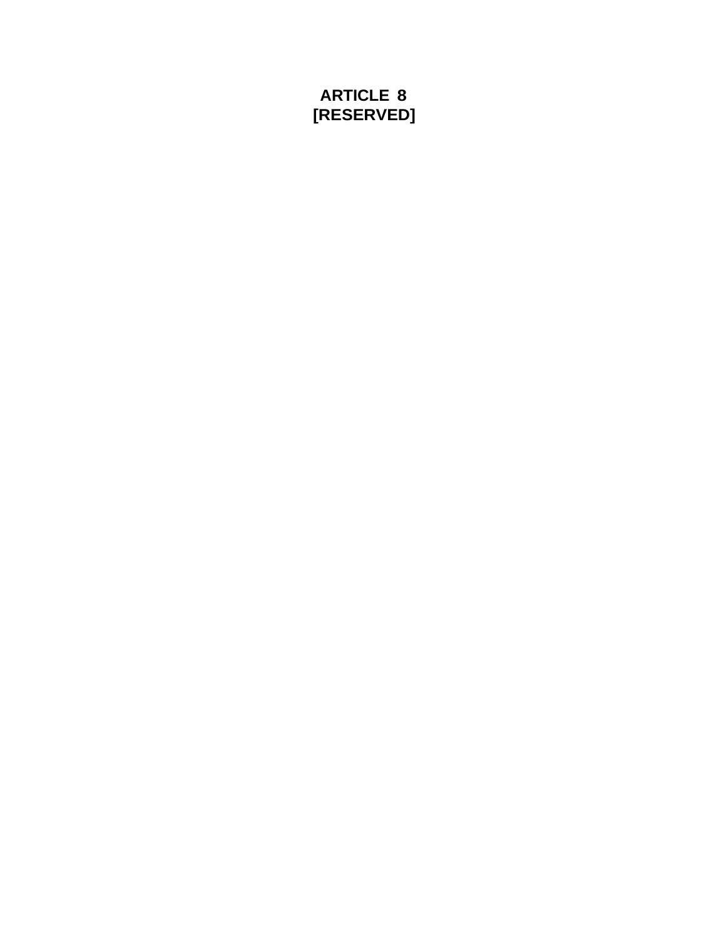# **ARTICLE 8 [RESERVED]**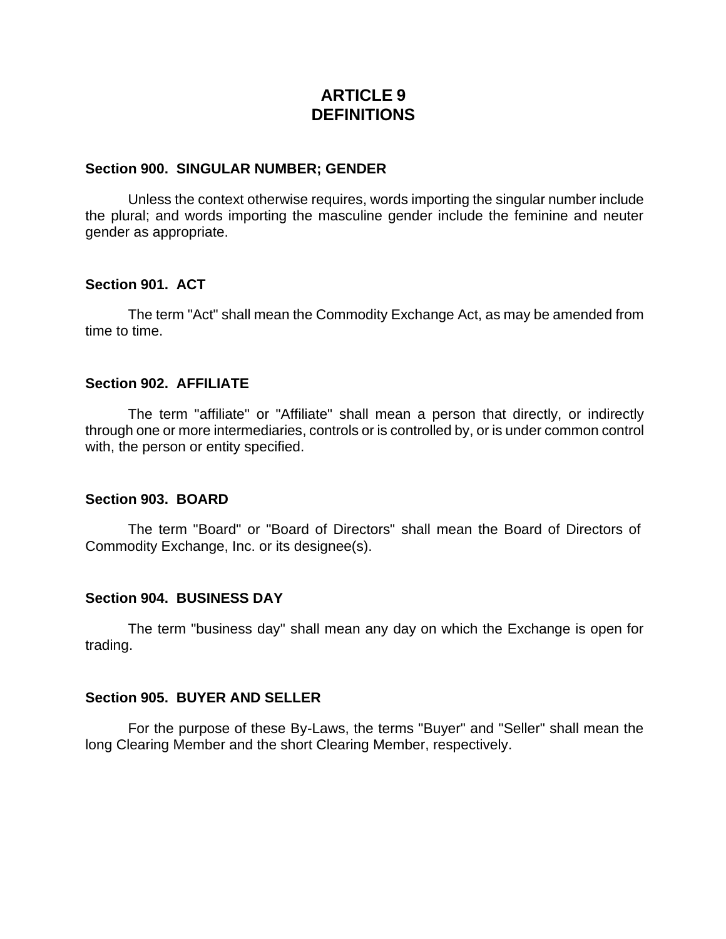# **ARTICLE 9 DEFINITIONS**

#### **Section 900. SINGULAR NUMBER; GENDER**

Unless the context otherwise requires, words importing the singular number include the plural; and words importing the masculine gender include the feminine and neuter gender as appropriate.

#### **Section 901. ACT**

The term "Act" shall mean the Commodity Exchange Act, as may be amended from time to time.

#### **Section 902. AFFILIATE**

The term "affiliate" or "Affiliate" shall mean a person that directly, or indirectly through one or more intermediaries, controls or is controlled by, or is under common control with, the person or entity specified.

#### **Section 903. BOARD**

The term "Board" or "Board of Directors" shall mean the Board of Directors of Commodity Exchange, Inc. or its designee(s).

#### **Section 904. BUSINESS DAY**

The term "business day" shall mean any day on which the Exchange is open for trading.

#### **Section 905. BUYER AND SELLER**

For the purpose of these By-Laws, the terms "Buyer" and "Seller" shall mean the long Clearing Member and the short Clearing Member, respectively.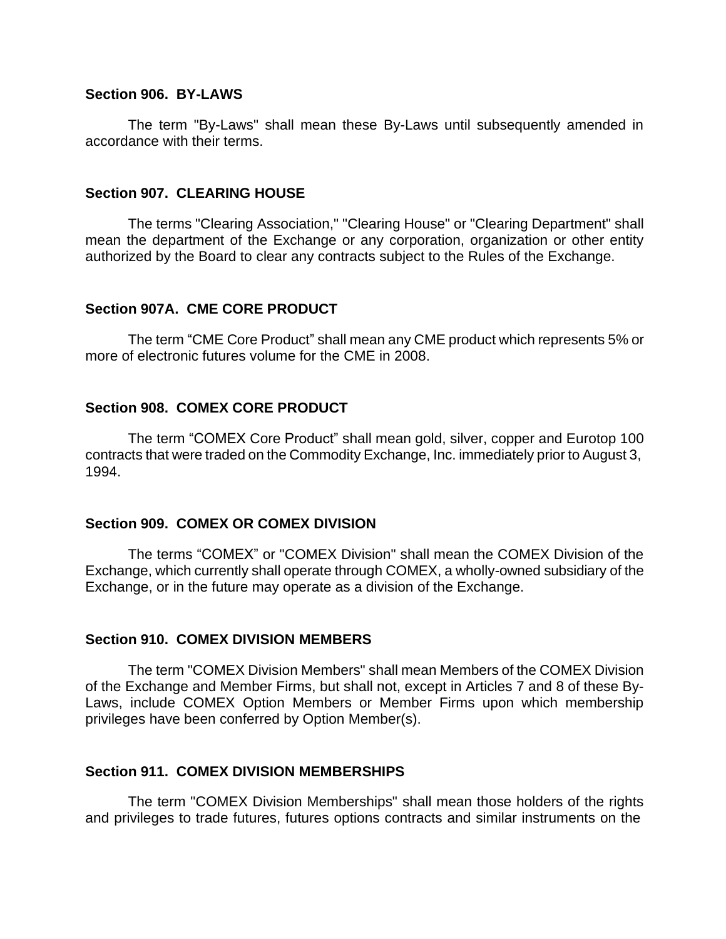## **Section 906. BY-LAWS**

The term "By-Laws" shall mean these By-Laws until subsequently amended in accordance with their terms.

#### **Section 907. CLEARING HOUSE**

The terms "Clearing Association," "Clearing House" or "Clearing Department" shall mean the department of the Exchange or any corporation, organization or other entity authorized by the Board to clear any contracts subject to the Rules of the Exchange.

#### **Section 907A. CME CORE PRODUCT**

The term "CME Core Product" shall mean any CME product which represents 5% or more of electronic futures volume for the CME in 2008.

#### **Section 908. COMEX CORE PRODUCT**

The term "COMEX Core Product" shall mean gold, silver, copper and Eurotop 100 contracts that were traded on the Commodity Exchange, Inc. immediately prior to August 3, 1994.

#### **Section 909. COMEX OR COMEX DIVISION**

The terms "COMEX" or "COMEX Division" shall mean the COMEX Division of the Exchange, which currently shall operate through COMEX, a wholly-owned subsidiary of the Exchange, or in the future may operate as a division of the Exchange.

#### **Section 910. COMEX DIVISION MEMBERS**

The term "COMEX Division Members" shall mean Members of the COMEX Division of the Exchange and Member Firms, but shall not, except in Articles 7 and 8 of these By-Laws, include COMEX Option Members or Member Firms upon which membership privileges have been conferred by Option Member(s).

#### **Section 911. COMEX DIVISION MEMBERSHIPS**

The term "COMEX Division Memberships" shall mean those holders of the rights and privileges to trade futures, futures options contracts and similar instruments on the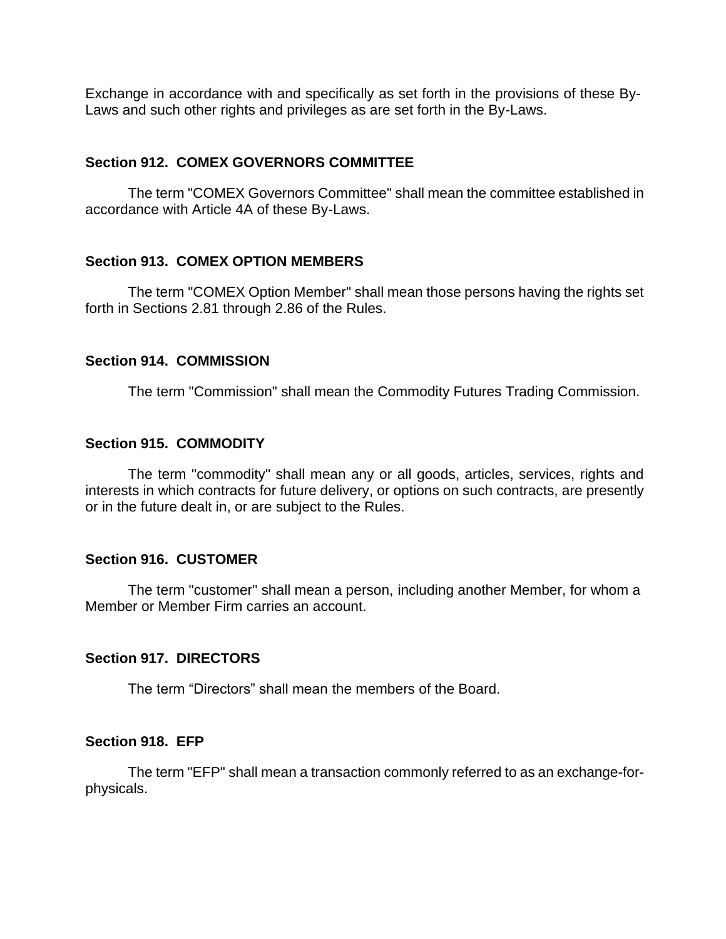Exchange in accordance with and specifically as set forth in the provisions of these By-Laws and such other rights and privileges as are set forth in the By-Laws.

## **Section 912. COMEX GOVERNORS COMMITTEE**

The term "COMEX Governors Committee" shall mean the committee established in accordance with Article 4A of these By-Laws.

### **Section 913. COMEX OPTION MEMBERS**

The term "COMEX Option Member" shall mean those persons having the rights set forth in Sections 2.81 through 2.86 of the Rules.

### **Section 914. COMMISSION**

The term "Commission" shall mean the Commodity Futures Trading Commission.

### **Section 915. COMMODITY**

The term "commodity" shall mean any or all goods, articles, services, rights and interests in which contracts for future delivery, or options on such contracts, are presently or in the future dealt in, or are subject to the Rules.

#### **Section 916. CUSTOMER**

The term "customer" shall mean a person, including another Member, for whom a Member or Member Firm carries an account.

#### **Section 917. DIRECTORS**

The term "Directors" shall mean the members of the Board.

#### **Section 918. EFP**

The term "EFP" shall mean a transaction commonly referred to as an exchange-forphysicals.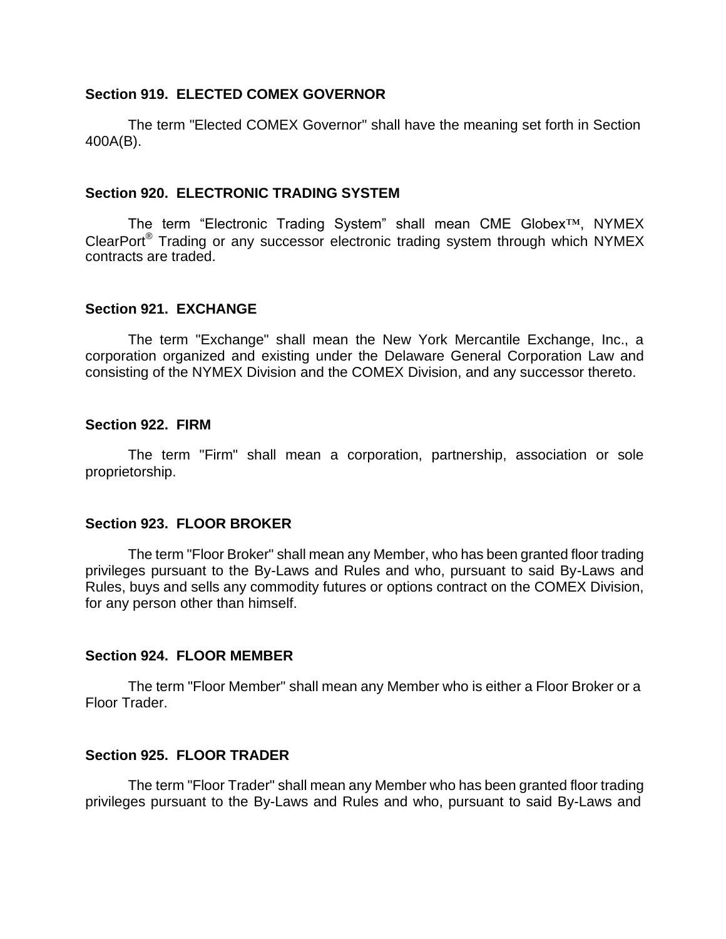### **Section 919. ELECTED COMEX GOVERNOR**

The term "Elected COMEX Governor" shall have the meaning set forth in Section 400A(B).

### **Section 920. ELECTRONIC TRADING SYSTEM**

The term "Electronic Trading System" shall mean CME Globex™, NYMEX ClearPort® Trading or any successor electronic trading system through which NYMEX contracts are traded.

## **Section 921. EXCHANGE**

The term "Exchange" shall mean the New York Mercantile Exchange, Inc., a corporation organized and existing under the Delaware General Corporation Law and consisting of the NYMEX Division and the COMEX Division, and any successor thereto.

### **Section 922. FIRM**

The term "Firm" shall mean a corporation, partnership, association or sole proprietorship.

## **Section 923. FLOOR BROKER**

The term "Floor Broker" shall mean any Member, who has been granted floor trading privileges pursuant to the By-Laws and Rules and who, pursuant to said By-Laws and Rules, buys and sells any commodity futures or options contract on the COMEX Division, for any person other than himself.

## **Section 924. FLOOR MEMBER**

The term "Floor Member" shall mean any Member who is either a Floor Broker or a Floor Trader.

## **Section 925. FLOOR TRADER**

The term "Floor Trader" shall mean any Member who has been granted floor trading privileges pursuant to the By-Laws and Rules and who, pursuant to said By-Laws and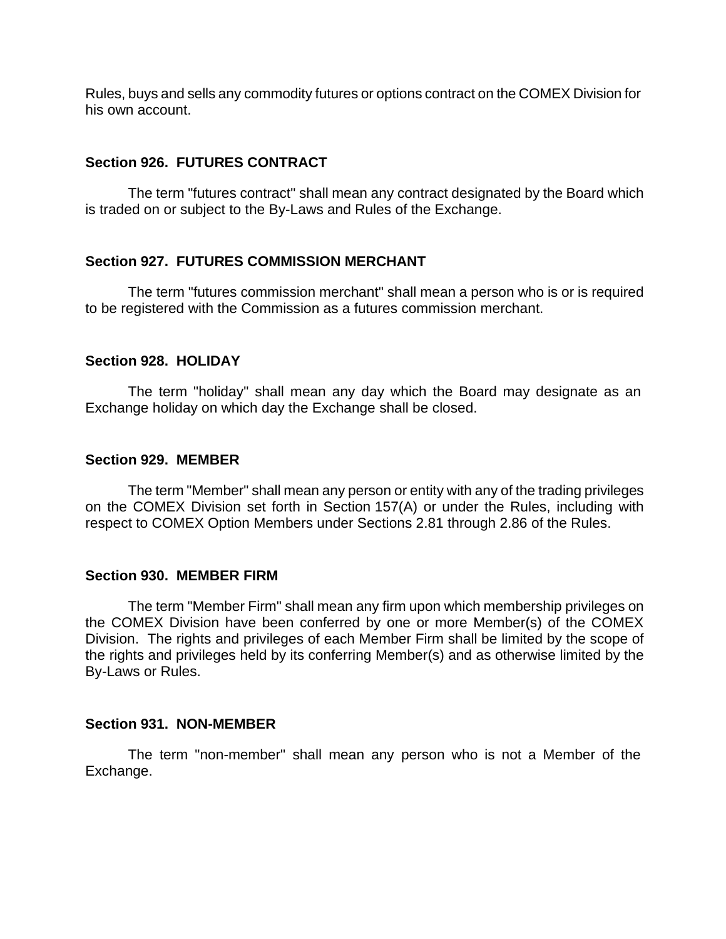Rules, buys and sells any commodity futures or options contract on the COMEX Division for his own account.

## **Section 926. FUTURES CONTRACT**

The term "futures contract" shall mean any contract designated by the Board which is traded on or subject to the By-Laws and Rules of the Exchange.

### **Section 927. FUTURES COMMISSION MERCHANT**

The term "futures commission merchant" shall mean a person who is or is required to be registered with the Commission as a futures commission merchant.

### **Section 928. HOLIDAY**

The term "holiday" shall mean any day which the Board may designate as an Exchange holiday on which day the Exchange shall be closed.

#### **Section 929. MEMBER**

The term "Member" shall mean any person or entity with any of the trading privileges on the COMEX Division set forth in Section 157(A) or under the Rules, including with respect to COMEX Option Members under Sections 2.81 through 2.86 of the Rules.

#### **Section 930. MEMBER FIRM**

The term "Member Firm" shall mean any firm upon which membership privileges on the COMEX Division have been conferred by one or more Member(s) of the COMEX Division. The rights and privileges of each Member Firm shall be limited by the scope of the rights and privileges held by its conferring Member(s) and as otherwise limited by the By-Laws or Rules.

#### **Section 931. NON-MEMBER**

The term "non-member" shall mean any person who is not a Member of the Exchange.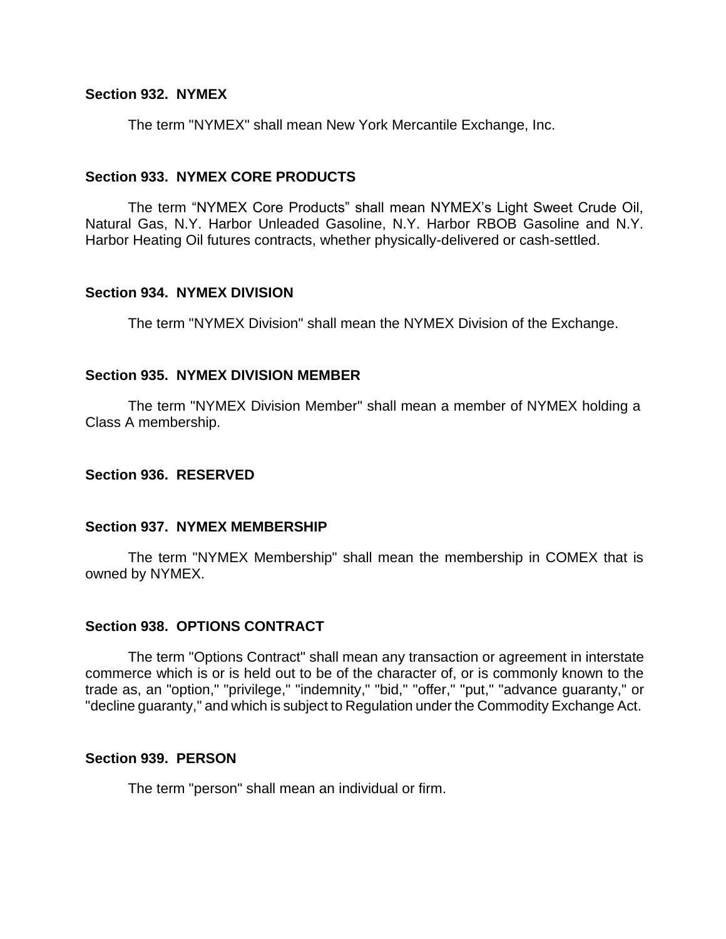## **Section 932. NYMEX**

The term "NYMEX" shall mean New York Mercantile Exchange, Inc.

#### **Section 933. NYMEX CORE PRODUCTS**

The term "NYMEX Core Products" shall mean NYMEX's Light Sweet Crude Oil, Natural Gas, N.Y. Harbor Unleaded Gasoline, N.Y. Harbor RBOB Gasoline and N.Y. Harbor Heating Oil futures contracts, whether physically-delivered or cash-settled.

### **Section 934. NYMEX DIVISION**

The term "NYMEX Division" shall mean the NYMEX Division of the Exchange.

#### **Section 935. NYMEX DIVISION MEMBER**

The term "NYMEX Division Member" shall mean a member of NYMEX holding a Class A membership.

#### **Section 936. RESERVED**

#### **Section 937. NYMEX MEMBERSHIP**

The term "NYMEX Membership" shall mean the membership in COMEX that is owned by NYMEX.

#### **Section 938. OPTIONS CONTRACT**

The term "Options Contract" shall mean any transaction or agreement in interstate commerce which is or is held out to be of the character of, or is commonly known to the trade as, an "option," "privilege," "indemnity," "bid," "offer," "put," "advance guaranty," or "decline guaranty," and which is subject to Regulation under the Commodity Exchange Act.

### **Section 939. PERSON**

The term "person" shall mean an individual or firm.